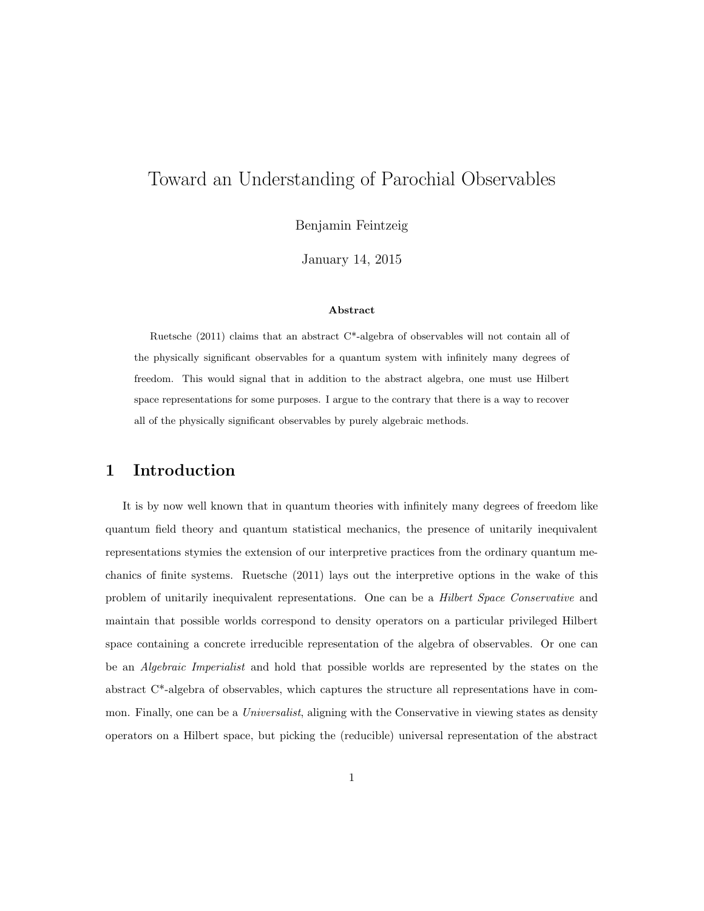# Toward an Understanding of Parochial Observables

Benjamin Feintzeig

January 14, 2015

#### Abstract

Ruetsche  $(2011)$  claims that an abstract C<sup>\*</sup>-algebra of observables will not contain all of the physically significant observables for a quantum system with infinitely many degrees of freedom. This would signal that in addition to the abstract algebra, one must use Hilbert space representations for some purposes. I argue to the contrary that there is a way to recover all of the physically significant observables by purely algebraic methods.

### 1 Introduction

It is by now well known that in quantum theories with infinitely many degrees of freedom like quantum field theory and quantum statistical mechanics, the presence of unitarily inequivalent representations stymies the extension of our interpretive practices from the ordinary quantum mechanics of finite systems. Ruetsche (2011) lays out the interpretive options in the wake of this problem of unitarily inequivalent representations. One can be a *Hilbert Space Conservative* and maintain that possible worlds correspond to density operators on a particular privileged Hilbert space containing a concrete irreducible representation of the algebra of observables. Or one can be an Algebraic Imperialist and hold that possible worlds are represented by the states on the abstract C\*-algebra of observables, which captures the structure all representations have in common. Finally, one can be a *Universalist*, aligning with the Conservative in viewing states as density operators on a Hilbert space, but picking the (reducible) universal representation of the abstract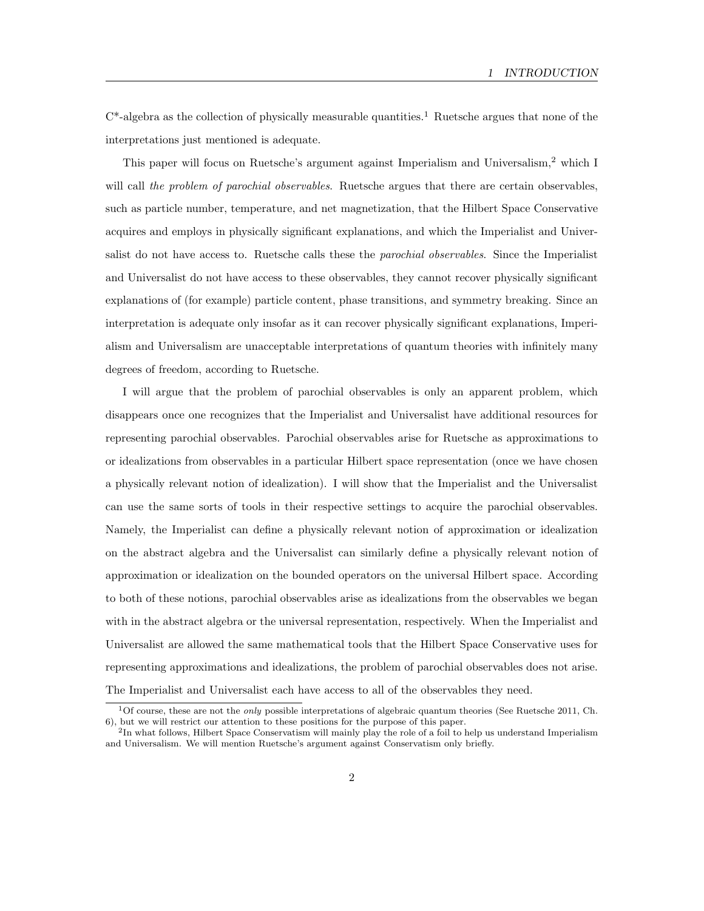$C^*$ -algebra as the collection of physically measurable quantities.<sup>1</sup> Ruetsche argues that none of the interpretations just mentioned is adequate.

This paper will focus on Ruetsche's argument against Imperialism and Universalism,<sup>2</sup> which I will call the problem of parochial observables. Ruetsche argues that there are certain observables, such as particle number, temperature, and net magnetization, that the Hilbert Space Conservative acquires and employs in physically significant explanations, and which the Imperialist and Universalist do not have access to. Ruetsche calls these the *parochial observables*. Since the Imperialist and Universalist do not have access to these observables, they cannot recover physically significant explanations of (for example) particle content, phase transitions, and symmetry breaking. Since an interpretation is adequate only insofar as it can recover physically significant explanations, Imperialism and Universalism are unacceptable interpretations of quantum theories with infinitely many degrees of freedom, according to Ruetsche.

I will argue that the problem of parochial observables is only an apparent problem, which disappears once one recognizes that the Imperialist and Universalist have additional resources for representing parochial observables. Parochial observables arise for Ruetsche as approximations to or idealizations from observables in a particular Hilbert space representation (once we have chosen a physically relevant notion of idealization). I will show that the Imperialist and the Universalist can use the same sorts of tools in their respective settings to acquire the parochial observables. Namely, the Imperialist can define a physically relevant notion of approximation or idealization on the abstract algebra and the Universalist can similarly define a physically relevant notion of approximation or idealization on the bounded operators on the universal Hilbert space. According to both of these notions, parochial observables arise as idealizations from the observables we began with in the abstract algebra or the universal representation, respectively. When the Imperialist and Universalist are allowed the same mathematical tools that the Hilbert Space Conservative uses for representing approximations and idealizations, the problem of parochial observables does not arise. The Imperialist and Universalist each have access to all of the observables they need.

<sup>&</sup>lt;sup>1</sup>Of course, these are not the *only* possible interpretations of algebraic quantum theories (See Ruetsche 2011, Ch. 6), but we will restrict our attention to these positions for the purpose of this paper.

<sup>&</sup>lt;sup>2</sup>In what follows, Hilbert Space Conservatism will mainly play the role of a foil to help us understand Imperialism and Universalism. We will mention Ruetsche's argument against Conservatism only briefly.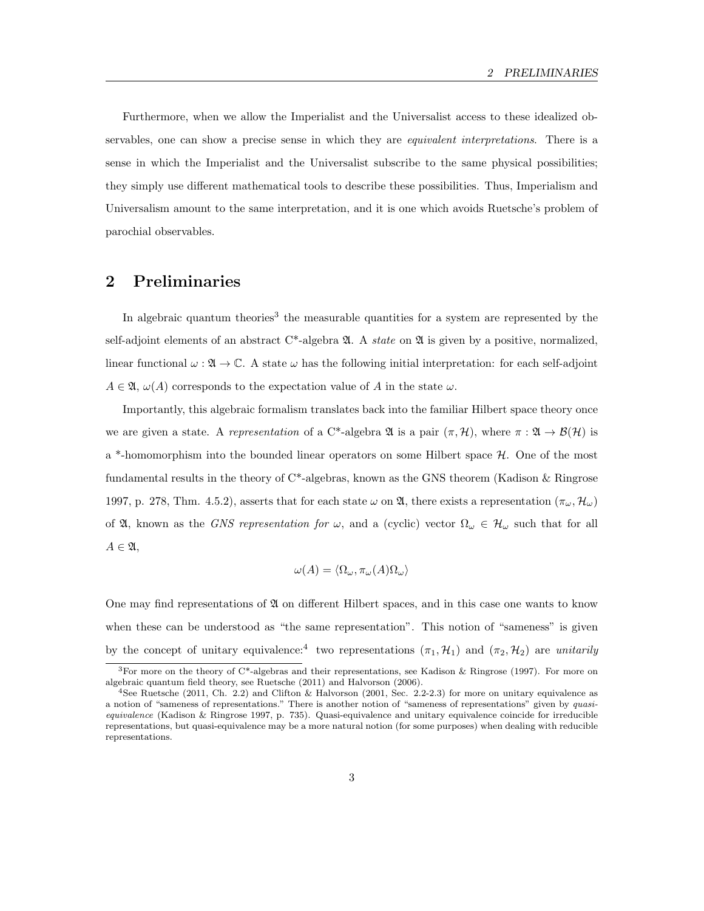Furthermore, when we allow the Imperialist and the Universalist access to these idealized observables, one can show a precise sense in which they are equivalent interpretations. There is a sense in which the Imperialist and the Universalist subscribe to the same physical possibilities; they simply use different mathematical tools to describe these possibilities. Thus, Imperialism and Universalism amount to the same interpretation, and it is one which avoids Ruetsche's problem of parochial observables.

### 2 Preliminaries

In algebraic quantum theories<sup>3</sup> the measurable quantities for a system are represented by the self-adjoint elements of an abstract  $C^*$ -algebra  $\mathfrak A$ . A *state* on  $\mathfrak A$  is given by a positive, normalized, linear functional  $\omega : \mathfrak{A} \to \mathbb{C}$ . A state  $\omega$  has the following initial interpretation: for each self-adjoint  $A \in \mathfrak{A}, \omega(A)$  corresponds to the expectation value of A in the state  $\omega$ .

Importantly, this algebraic formalism translates back into the familiar Hilbert space theory once we are given a state. A representation of a C\*-algebra  $\mathfrak{A}$  is a pair  $(\pi, \mathcal{H})$ , where  $\pi : \mathfrak{A} \to \mathcal{B}(\mathcal{H})$  is a  $*$ -homomorphism into the bounded linear operators on some Hilbert space  $H$ . One of the most fundamental results in the theory of  $C^*$ -algebras, known as the GNS theorem (Kadison & Ringrose 1997, p. 278, Thm. 4.5.2), asserts that for each state  $\omega$  on  $\mathfrak{A}$ , there exists a representation  $(\pi_{\omega}, \mathcal{H}_{\omega})$ of  $\mathfrak{A}$ , known as the GNS representation for  $\omega$ , and a (cyclic) vector  $\Omega_{\omega} \in \mathcal{H}_{\omega}$  such that for all  $A \in \mathfrak{A},$ 

$$
\omega(A) = \langle \Omega_{\omega}, \pi_{\omega}(A) \Omega_{\omega} \rangle
$$

One may find representations of  $\mathfrak A$  on different Hilbert spaces, and in this case one wants to know when these can be understood as "the same representation". This notion of "sameness" is given by the concept of unitary equivalence:<sup>4</sup> two representations  $(\pi_1, \mathcal{H}_1)$  and  $(\pi_2, \mathcal{H}_2)$  are unitarily

<sup>&</sup>lt;sup>3</sup>For more on the theory of C<sup>\*</sup>-algebras and their representations, see Kadison & Ringrose (1997). For more on algebraic quantum field theory, see Ruetsche (2011) and Halvorson (2006).

<sup>4</sup>See Ruetsche (2011, Ch. 2.2) and Clifton & Halvorson (2001, Sec. 2.2-2.3) for more on unitary equivalence as a notion of "sameness of representations." There is another notion of "sameness of representations" given by quasiequivalence (Kadison & Ringrose 1997, p. 735). Quasi-equivalence and unitary equivalence coincide for irreducible representations, but quasi-equivalence may be a more natural notion (for some purposes) when dealing with reducible representations.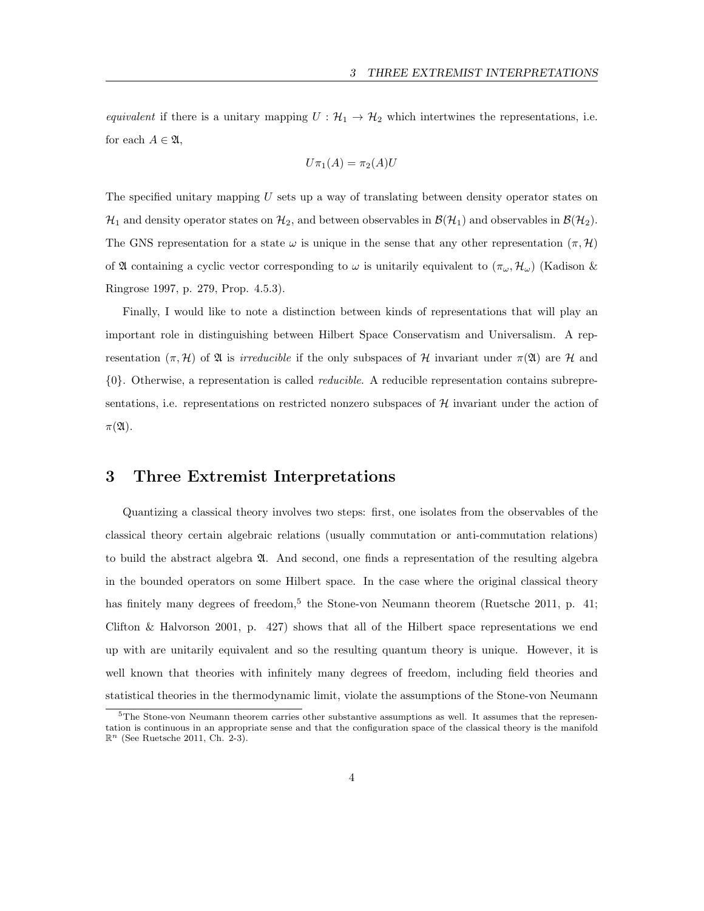equivalent if there is a unitary mapping  $U : \mathcal{H}_1 \to \mathcal{H}_2$  which intertwines the representations, i.e. for each  $A \in \mathfrak{A}$ ,

$$
U\pi_1(A)=\pi_2(A)U
$$

The specified unitary mapping  $U$  sets up a way of translating between density operator states on  $\mathcal{H}_1$  and density operator states on  $\mathcal{H}_2$ , and between observables in  $\mathcal{B}(\mathcal{H}_1)$  and observables in  $\mathcal{B}(\mathcal{H}_2)$ . The GNS representation for a state  $\omega$  is unique in the sense that any other representation  $(\pi, \mathcal{H})$ of A containing a cyclic vector corresponding to  $\omega$  is unitarily equivalent to  $(\pi_{\omega}, \mathcal{H}_{\omega})$  (Kadison & Ringrose 1997, p. 279, Prop. 4.5.3).

Finally, I would like to note a distinction between kinds of representations that will play an important role in distinguishing between Hilbert Space Conservatism and Universalism. A representation  $(\pi, \mathcal{H})$  of  $\mathfrak{A}$  is *irreducible* if the only subspaces of H invariant under  $\pi(\mathfrak{A})$  are H and {0}. Otherwise, a representation is called reducible. A reducible representation contains subrepresentations, i.e. representations on restricted nonzero subspaces of  $\mathcal{H}$  invariant under the action of  $\pi(\mathfrak{A}).$ 

### 3 Three Extremist Interpretations

Quantizing a classical theory involves two steps: first, one isolates from the observables of the classical theory certain algebraic relations (usually commutation or anti-commutation relations) to build the abstract algebra A. And second, one finds a representation of the resulting algebra in the bounded operators on some Hilbert space. In the case where the original classical theory has finitely many degrees of freedom,<sup>5</sup> the Stone-von Neumann theorem (Ruetsche 2011, p. 41; Clifton & Halvorson 2001, p. 427) shows that all of the Hilbert space representations we end up with are unitarily equivalent and so the resulting quantum theory is unique. However, it is well known that theories with infinitely many degrees of freedom, including field theories and statistical theories in the thermodynamic limit, violate the assumptions of the Stone-von Neumann

 $5$ The Stone-von Neumann theorem carries other substantive assumptions as well. It assumes that the representation is continuous in an appropriate sense and that the configuration space of the classical theory is the manifold  $\mathbb{R}^n$  (See Ruetsche 2011, Ch. 2-3).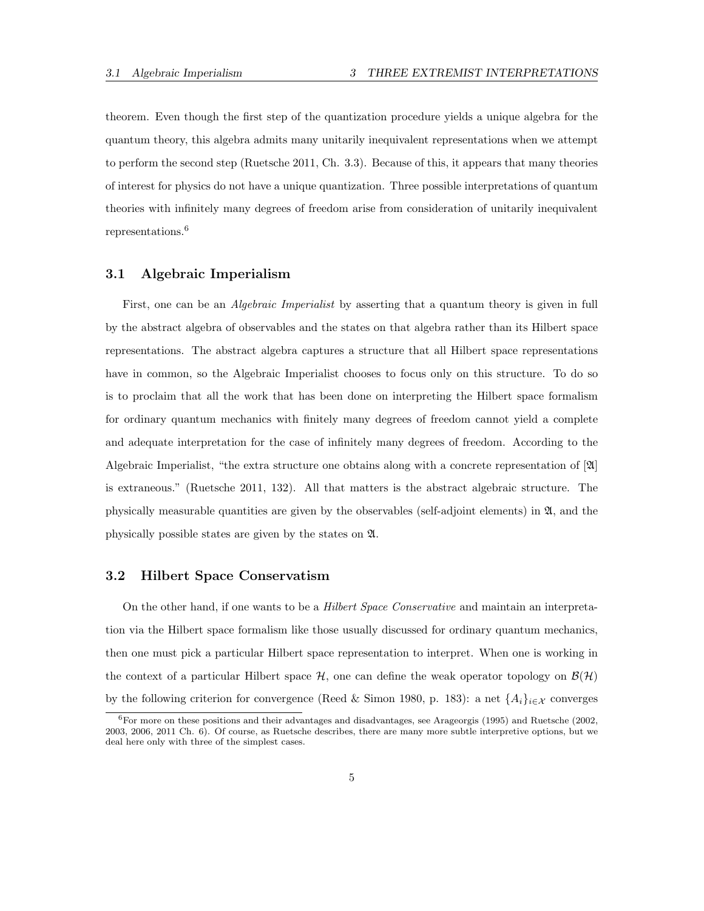theorem. Even though the first step of the quantization procedure yields a unique algebra for the quantum theory, this algebra admits many unitarily inequivalent representations when we attempt to perform the second step (Ruetsche 2011, Ch. 3.3). Because of this, it appears that many theories of interest for physics do not have a unique quantization. Three possible interpretations of quantum theories with infinitely many degrees of freedom arise from consideration of unitarily inequivalent representations.<sup>6</sup>

#### 3.1 Algebraic Imperialism

First, one can be an *Algebraic Imperialist* by asserting that a quantum theory is given in full by the abstract algebra of observables and the states on that algebra rather than its Hilbert space representations. The abstract algebra captures a structure that all Hilbert space representations have in common, so the Algebraic Imperialist chooses to focus only on this structure. To do so is to proclaim that all the work that has been done on interpreting the Hilbert space formalism for ordinary quantum mechanics with finitely many degrees of freedom cannot yield a complete and adequate interpretation for the case of infinitely many degrees of freedom. According to the Algebraic Imperialist, "the extra structure one obtains along with a concrete representation of [A] is extraneous." (Ruetsche 2011, 132). All that matters is the abstract algebraic structure. The physically measurable quantities are given by the observables (self-adjoint elements) in  $\mathfrak{A}$ , and the physically possible states are given by the states on A.

#### 3.2 Hilbert Space Conservatism

On the other hand, if one wants to be a Hilbert Space Conservative and maintain an interpretation via the Hilbert space formalism like those usually discussed for ordinary quantum mechanics, then one must pick a particular Hilbert space representation to interpret. When one is working in the context of a particular Hilbert space  $H$ , one can define the weak operator topology on  $\mathcal{B}(\mathcal{H})$ by the following criterion for convergence (Reed & Simon 1980, p. 183): a net  $\{A_i\}_{i\in\mathcal{X}}$  converges

<sup>6</sup>For more on these positions and their advantages and disadvantages, see Arageorgis (1995) and Ruetsche (2002, 2003, 2006, 2011 Ch. 6). Of course, as Ruetsche describes, there are many more subtle interpretive options, but we deal here only with three of the simplest cases.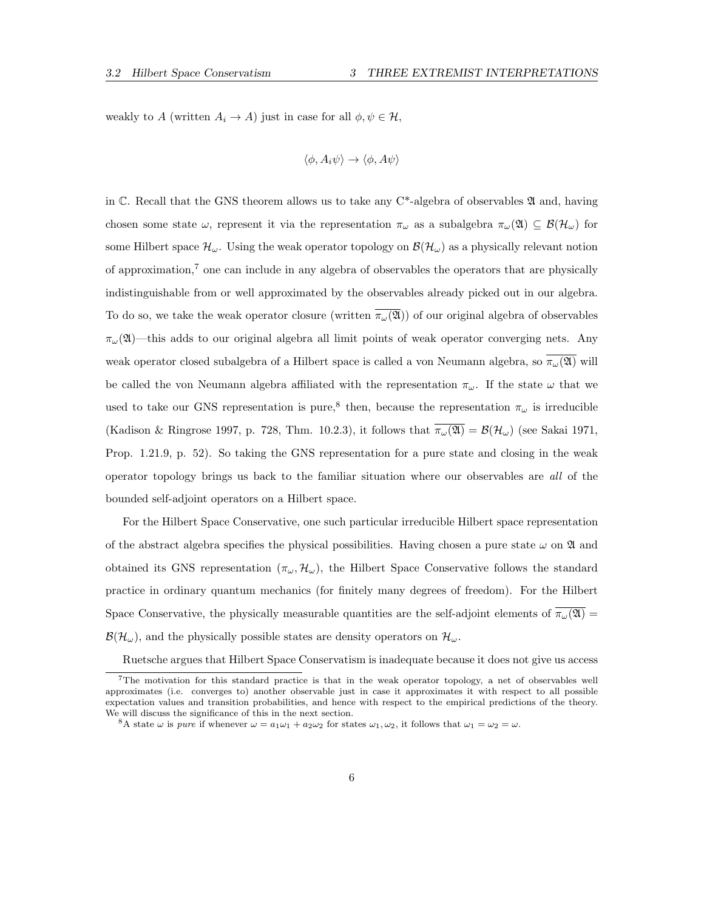weakly to A (written  $A_i \to A$ ) just in case for all  $\phi, \psi \in \mathcal{H}$ ,

$$
\langle \phi, A_i \psi \rangle \to \langle \phi, A \psi \rangle
$$

in  $\mathbb{C}$ . Recall that the GNS theorem allows us to take any C<sup>\*</sup>-algebra of observables  $\mathfrak A$  and, having chosen some state  $\omega$ , represent it via the representation  $\pi_{\omega}$  as a subalgebra  $\pi_{\omega}(\mathfrak{A}) \subseteq \mathcal{B}(\mathcal{H}_{\omega})$  for some Hilbert space  $\mathcal{H}_{\omega}$ . Using the weak operator topology on  $\mathcal{B}(\mathcal{H}_{\omega})$  as a physically relevant notion of approximation,<sup>7</sup> one can include in any algebra of observables the operators that are physically indistinguishable from or well approximated by the observables already picked out in our algebra. To do so, we take the weak operator closure (written  $\overline{\pi_{\omega}(\mathfrak{A})}$ ) of our original algebra of observables  $\pi_{\omega}(\mathfrak{A})$ —this adds to our original algebra all limit points of weak operator converging nets. Any weak operator closed subalgebra of a Hilbert space is called a von Neumann algebra, so  $\pi_{\omega}(\mathfrak{A})$  will be called the von Neumann algebra affiliated with the representation  $\pi_{\omega}$ . If the state  $\omega$  that we used to take our GNS representation is pure,<sup>8</sup> then, because the representation  $\pi_{\omega}$  is irreducible (Kadison & Ringrose 1997, p. 728, Thm. 10.2.3), it follows that  $\overline{\pi_{\omega}(\mathfrak{A})} = \mathcal{B}(\mathcal{H}_{\omega})$  (see Sakai 1971, Prop. 1.21.9, p. 52). So taking the GNS representation for a pure state and closing in the weak operator topology brings us back to the familiar situation where our observables are all of the bounded self-adjoint operators on a Hilbert space.

For the Hilbert Space Conservative, one such particular irreducible Hilbert space representation of the abstract algebra specifies the physical possibilities. Having chosen a pure state  $\omega$  on  $\mathfrak A$  and obtained its GNS representation  $(\pi_{\omega}, \mathcal{H}_{\omega})$ , the Hilbert Space Conservative follows the standard practice in ordinary quantum mechanics (for finitely many degrees of freedom). For the Hilbert Space Conservative, the physically measurable quantities are the self-adjoint elements of  $\overline{\pi_{\omega}(\mathfrak{A})}$  $\mathcal{B}(\mathcal{H}_{\omega})$ , and the physically possible states are density operators on  $\mathcal{H}_{\omega}$ .

Ruetsche argues that Hilbert Space Conservatism is inadequate because it does not give us access

<sup>7</sup>The motivation for this standard practice is that in the weak operator topology, a net of observables well approximates (i.e. converges to) another observable just in case it approximates it with respect to all possible expectation values and transition probabilities, and hence with respect to the empirical predictions of the theory. We will discuss the significance of this in the next section.

<sup>&</sup>lt;sup>8</sup>A state  $\omega$  is pure if whenever  $\omega = a_1 \omega_1 + a_2 \omega_2$  for states  $\omega_1, \omega_2$ , it follows that  $\omega_1 = \omega_2 = \omega$ .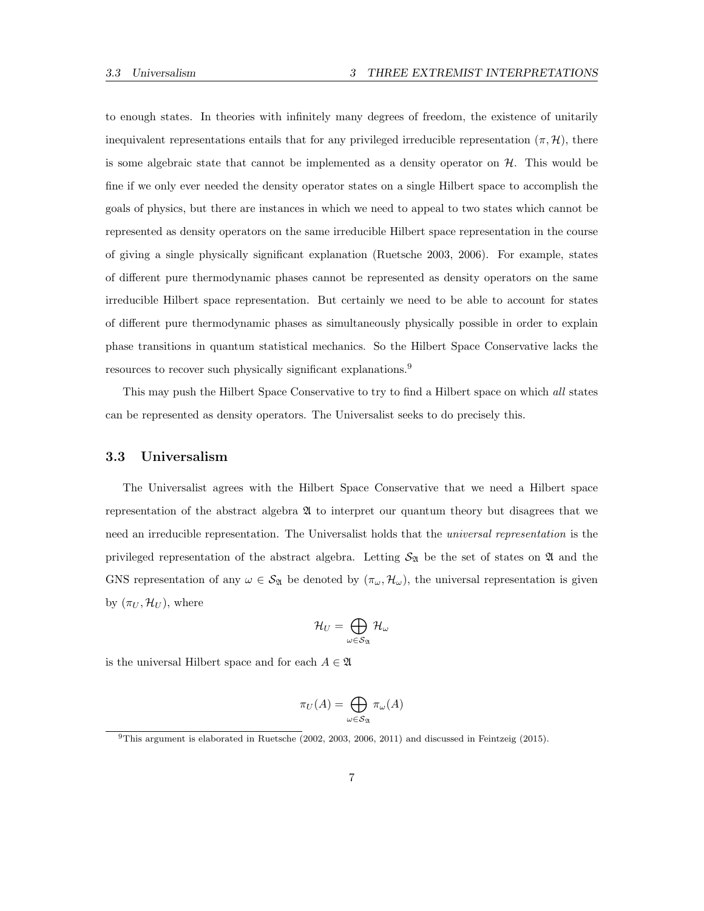to enough states. In theories with infinitely many degrees of freedom, the existence of unitarily inequivalent representations entails that for any privileged irreducible representation  $(\pi, \mathcal{H})$ , there is some algebraic state that cannot be implemented as a density operator on  $H$ . This would be fine if we only ever needed the density operator states on a single Hilbert space to accomplish the goals of physics, but there are instances in which we need to appeal to two states which cannot be represented as density operators on the same irreducible Hilbert space representation in the course of giving a single physically significant explanation (Ruetsche 2003, 2006). For example, states of different pure thermodynamic phases cannot be represented as density operators on the same irreducible Hilbert space representation. But certainly we need to be able to account for states of different pure thermodynamic phases as simultaneously physically possible in order to explain phase transitions in quantum statistical mechanics. So the Hilbert Space Conservative lacks the resources to recover such physically significant explanations.<sup>9</sup>

This may push the Hilbert Space Conservative to try to find a Hilbert space on which all states can be represented as density operators. The Universalist seeks to do precisely this.

#### 3.3 Universalism

The Universalist agrees with the Hilbert Space Conservative that we need a Hilbert space representation of the abstract algebra A to interpret our quantum theory but disagrees that we need an irreducible representation. The Universalist holds that the *universal representation* is the privileged representation of the abstract algebra. Letting  $S_{\mathfrak{A}}$  be the set of states on  $\mathfrak{A}$  and the GNS representation of any  $\omega \in \mathcal{S}_{\mathfrak{A}}$  be denoted by  $(\pi_{\omega}, \mathcal{H}_{\omega})$ , the universal representation is given by  $(\pi_U, \mathcal{H}_U)$ , where

$$
\mathcal{H}_U=\bigoplus_{\omega\in\mathcal{S}_{\mathfrak{A}}}\mathcal{H}_\omega
$$

is the universal Hilbert space and for each  $A \in \mathfrak{A}$ 

$$
\pi_U(A) = \bigoplus_{\omega \in \mathcal{S}_{\mathfrak{A}}} \pi_{\omega}(A)
$$

<sup>9</sup>This argument is elaborated in Ruetsche (2002, 2003, 2006, 2011) and discussed in Feintzeig (2015).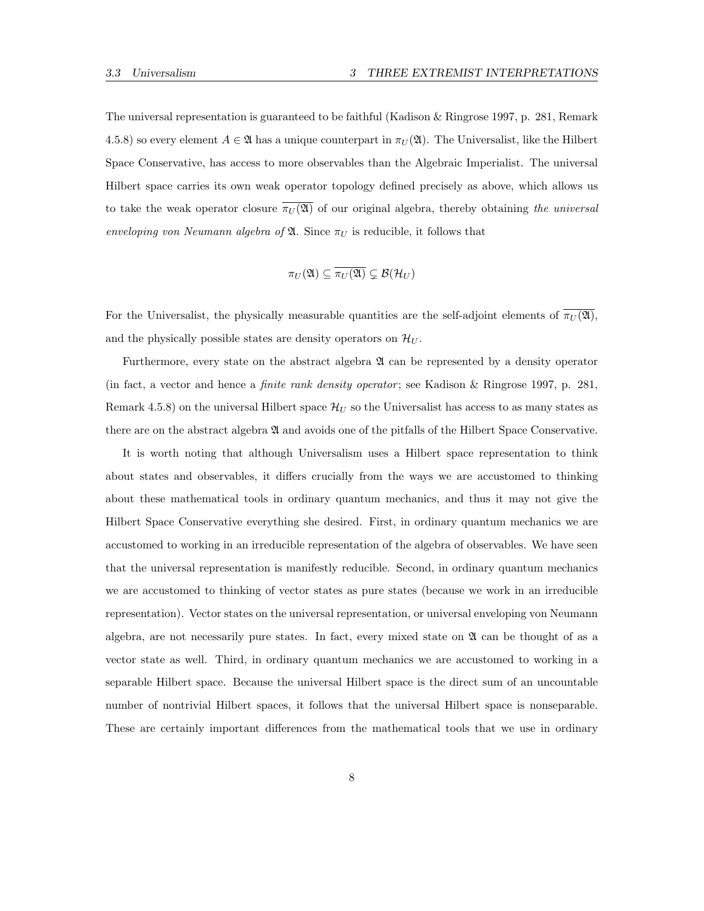The universal representation is guaranteed to be faithful (Kadison & Ringrose 1997, p. 281, Remark 4.5.8) so every element  $A \in \mathfrak{A}$  has a unique counterpart in  $\pi_U(\mathfrak{A})$ . The Universalist, like the Hilbert Space Conservative, has access to more observables than the Algebraic Imperialist. The universal Hilbert space carries its own weak operator topology defined precisely as above, which allows us to take the weak operator closure  $\pi_U(\mathfrak{A})$  of our original algebra, thereby obtaining the universal enveloping von Neumann algebra of  $\mathfrak{A}$ . Since  $\pi_U$  is reducible, it follows that

$$
\pi_U(\mathfrak{A}) \subseteq \overline{\pi_U(\mathfrak{A})} \subsetneq \mathcal{B}(\mathcal{H}_U)
$$

For the Universalist, the physically measurable quantities are the self-adjoint elements of  $\pi_U(\mathfrak{A})$ , and the physically possible states are density operators on  $\mathcal{H}_U$ .

Furthermore, every state on the abstract algebra  $\mathfrak A$  can be represented by a density operator (in fact, a vector and hence a *finite rank density operator*; see Kadison & Ringrose 1997, p. 281, Remark 4.5.8) on the universal Hilbert space  $\mathcal{H}_U$  so the Universalist has access to as many states as there are on the abstract algebra  $\mathfrak A$  and avoids one of the pitfalls of the Hilbert Space Conservative.

It is worth noting that although Universalism uses a Hilbert space representation to think about states and observables, it differs crucially from the ways we are accustomed to thinking about these mathematical tools in ordinary quantum mechanics, and thus it may not give the Hilbert Space Conservative everything she desired. First, in ordinary quantum mechanics we are accustomed to working in an irreducible representation of the algebra of observables. We have seen that the universal representation is manifestly reducible. Second, in ordinary quantum mechanics we are accustomed to thinking of vector states as pure states (because we work in an irreducible representation). Vector states on the universal representation, or universal enveloping von Neumann algebra, are not necessarily pure states. In fact, every mixed state on  $\mathfrak A$  can be thought of as a vector state as well. Third, in ordinary quantum mechanics we are accustomed to working in a separable Hilbert space. Because the universal Hilbert space is the direct sum of an uncountable number of nontrivial Hilbert spaces, it follows that the universal Hilbert space is nonseparable. These are certainly important differences from the mathematical tools that we use in ordinary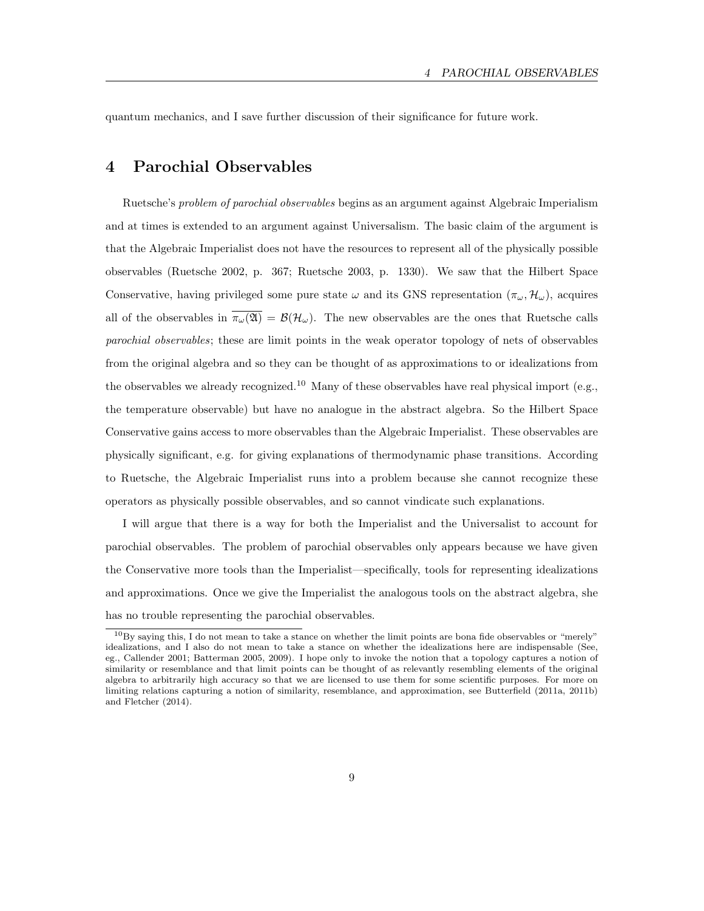quantum mechanics, and I save further discussion of their significance for future work.

### 4 Parochial Observables

Ruetsche's problem of parochial observables begins as an argument against Algebraic Imperialism and at times is extended to an argument against Universalism. The basic claim of the argument is that the Algebraic Imperialist does not have the resources to represent all of the physically possible observables (Ruetsche 2002, p. 367; Ruetsche 2003, p. 1330). We saw that the Hilbert Space Conservative, having privileged some pure state  $\omega$  and its GNS representation  $(\pi_{\omega}, \mathcal{H}_{\omega})$ , acquires all of the observables in  $\overline{\pi_{\omega}(\mathfrak{A})} = \mathcal{B}(\mathcal{H}_{\omega})$ . The new observables are the ones that Ruetsche calls parochial observables; these are limit points in the weak operator topology of nets of observables from the original algebra and so they can be thought of as approximations to or idealizations from the observables we already recognized.<sup>10</sup> Many of these observables have real physical import (e.g., the temperature observable) but have no analogue in the abstract algebra. So the Hilbert Space Conservative gains access to more observables than the Algebraic Imperialist. These observables are physically significant, e.g. for giving explanations of thermodynamic phase transitions. According to Ruetsche, the Algebraic Imperialist runs into a problem because she cannot recognize these operators as physically possible observables, and so cannot vindicate such explanations.

I will argue that there is a way for both the Imperialist and the Universalist to account for parochial observables. The problem of parochial observables only appears because we have given the Conservative more tools than the Imperialist—specifically, tools for representing idealizations and approximations. Once we give the Imperialist the analogous tools on the abstract algebra, she has no trouble representing the parochial observables.

 $10By$  saying this, I do not mean to take a stance on whether the limit points are bona fide observables or "merely" idealizations, and I also do not mean to take a stance on whether the idealizations here are indispensable (See, eg., Callender 2001; Batterman 2005, 2009). I hope only to invoke the notion that a topology captures a notion of similarity or resemblance and that limit points can be thought of as relevantly resembling elements of the original algebra to arbitrarily high accuracy so that we are licensed to use them for some scientific purposes. For more on limiting relations capturing a notion of similarity, resemblance, and approximation, see Butterfield (2011a, 2011b) and Fletcher (2014).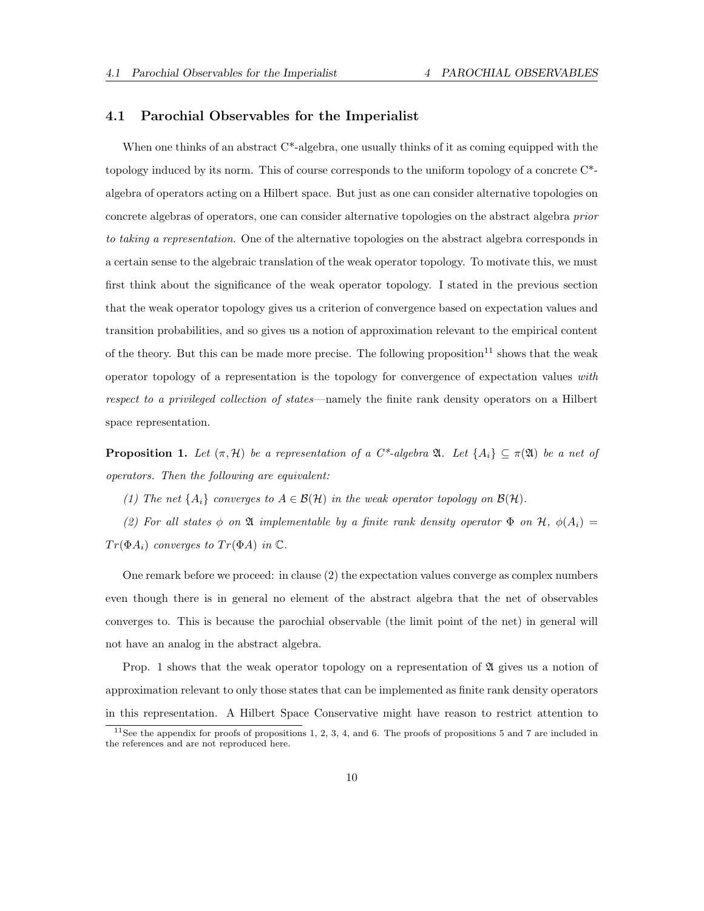#### 4.1 Parochial Observables for the Imperialist

When one thinks of an abstract  $C^*$ -algebra, one usually thinks of it as coming equipped with the topology induced by its norm. This of course corresponds to the uniform topology of a concrete C\* algebra of operators acting on a Hilbert space. But just as one can consider alternative topologies on concrete algebras of operators, one can consider alternative topologies on the abstract algebra prior to taking a representation. One of the alternative topologies on the abstract algebra corresponds in a certain sense to the algebraic translation of the weak operator topology. To motivate this, we must first think about the significance of the weak operator topology. I stated in the previous section that the weak operator topology gives us a criterion of convergence based on expectation values and transition probabilities, and so gives us a notion of approximation relevant to the empirical content of the theory. But this can be made more precise. The following proposition<sup>11</sup> shows that the weak operator topology of a representation is the topology for convergence of expectation values with respect to a privileged collection of states—namely the finite rank density operators on a Hilbert space representation.

**Proposition 1.** Let  $(\pi, \mathcal{H})$  be a representation of a C\*-algebra  $\mathfrak{A}$ . Let  $\{A_i\} \subseteq \pi(\mathfrak{A})$  be a net of operators. Then the following are equivalent:

(1) The net  $\{A_i\}$  converges to  $A \in \mathcal{B}(\mathcal{H})$  in the weak operator topology on  $\mathcal{B}(\mathcal{H})$ .

(2) For all states  $\phi$  on  $\mathfrak A$  implementable by a finite rank density operator  $\Phi$  on  $\mathcal H$ ,  $\phi(A_i)$  =  $Tr(\Phi A_i)$  converges to  $Tr(\Phi A)$  in  $\mathbb{C}$ .

One remark before we proceed: in clause (2) the expectation values converge as complex numbers even though there is in general no element of the abstract algebra that the net of observables converges to. This is because the parochial observable (the limit point of the net) in general will not have an analog in the abstract algebra.

Prop. 1 shows that the weak operator topology on a representation of  $\mathfrak A$  gives us a notion of approximation relevant to only those states that can be implemented as finite rank density operators in this representation. A Hilbert Space Conservative might have reason to restrict attention to

<sup>&</sup>lt;sup>11</sup>See the appendix for proofs of propositions 1, 2, 3, 4, and 6. The proofs of propositions 5 and 7 are included in the references and are not reproduced here.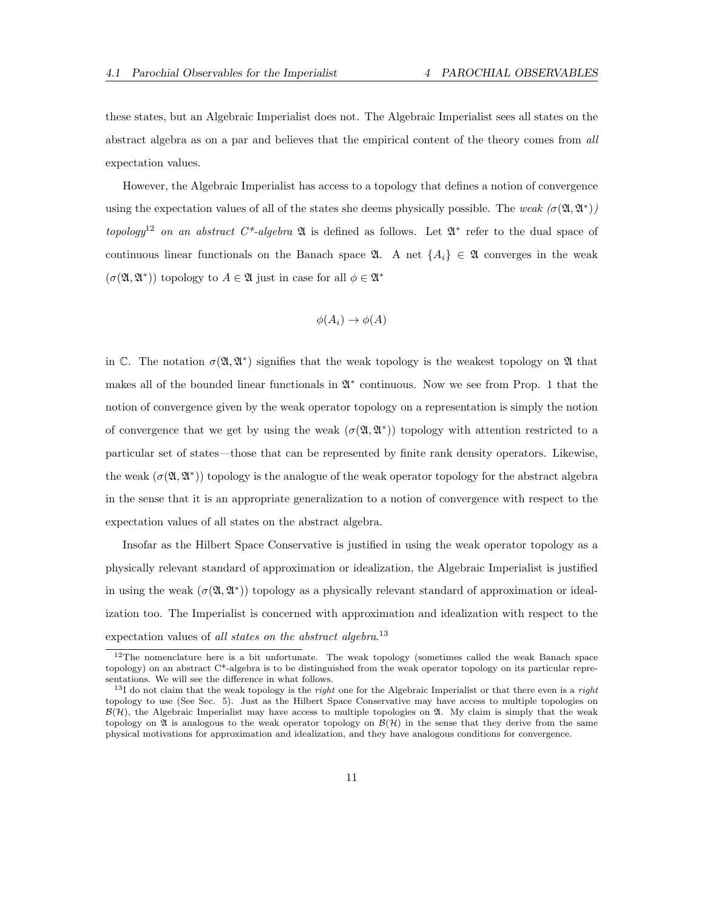these states, but an Algebraic Imperialist does not. The Algebraic Imperialist sees all states on the abstract algebra as on a par and believes that the empirical content of the theory comes from all expectation values.

However, the Algebraic Imperialist has access to a topology that defines a notion of convergence using the expectation values of all of the states she deems physically possible. The weak  $(\sigma(\mathfrak{A}, \mathfrak{A}^*))$ topology<sup>12</sup> on an abstract C<sup>\*</sup>-algebra  $\mathfrak A$  is defined as follows. Let  $\mathfrak A^*$  refer to the dual space of continuous linear functionals on the Banach space  $\mathfrak{A}$ . A net  $\{A_i\} \in \mathfrak{A}$  converges in the weak  $(\sigma(\mathfrak{A}, \mathfrak{A}^*))$  topology to  $A \in \mathfrak{A}$  just in case for all  $\phi \in \mathfrak{A}^*$ 

$$
\phi(A_i) \to \phi(A)
$$

in C. The notation  $\sigma(\mathfrak{A}, \mathfrak{A}^*)$  signifies that the weak topology is the weakest topology on  $\mathfrak A$  that makes all of the bounded linear functionals in  $\mathfrak{A}^*$  continuous. Now we see from Prop. 1 that the notion of convergence given by the weak operator topology on a representation is simply the notion of convergence that we get by using the weak  $(\sigma(\mathfrak{A}, \mathfrak{A}^*))$  topology with attention restricted to a particular set of states—those that can be represented by finite rank density operators. Likewise, the weak  $(\sigma(\mathfrak{A}, \mathfrak{A}^*))$  topology is the analogue of the weak operator topology for the abstract algebra in the sense that it is an appropriate generalization to a notion of convergence with respect to the expectation values of all states on the abstract algebra.

Insofar as the Hilbert Space Conservative is justified in using the weak operator topology as a physically relevant standard of approximation or idealization, the Algebraic Imperialist is justified in using the weak  $(\sigma(\mathfrak{A}, \mathfrak{A}^*))$  topology as a physically relevant standard of approximation or idealization too. The Imperialist is concerned with approximation and idealization with respect to the expectation values of all states on the abstract algebra.<sup>13</sup>

<sup>&</sup>lt;sup>12</sup>The nomenclature here is a bit unfortunate. The weak topology (sometimes called the weak Banach space topology) on an abstract C\*-algebra is to be distinguished from the weak operator topology on its particular representations. We will see the difference in what follows.

 $13I$  do not claim that the weak topology is the *right* one for the Algebraic Imperialist or that there even is a *right* topology to use (See Sec. 5). Just as the Hilbert Space Conservative may have access to multiple topologies on  $\mathcal{B}(\mathcal{H})$ , the Algebraic Imperialist may have access to multiple topologies on  $\mathfrak{A}$ . My claim is simply that the weak topology on  $\mathfrak A$  is analogous to the weak operator topology on  $\mathcal B(\mathcal H)$  in the sense that they derive from the same physical motivations for approximation and idealization, and they have analogous conditions for convergence.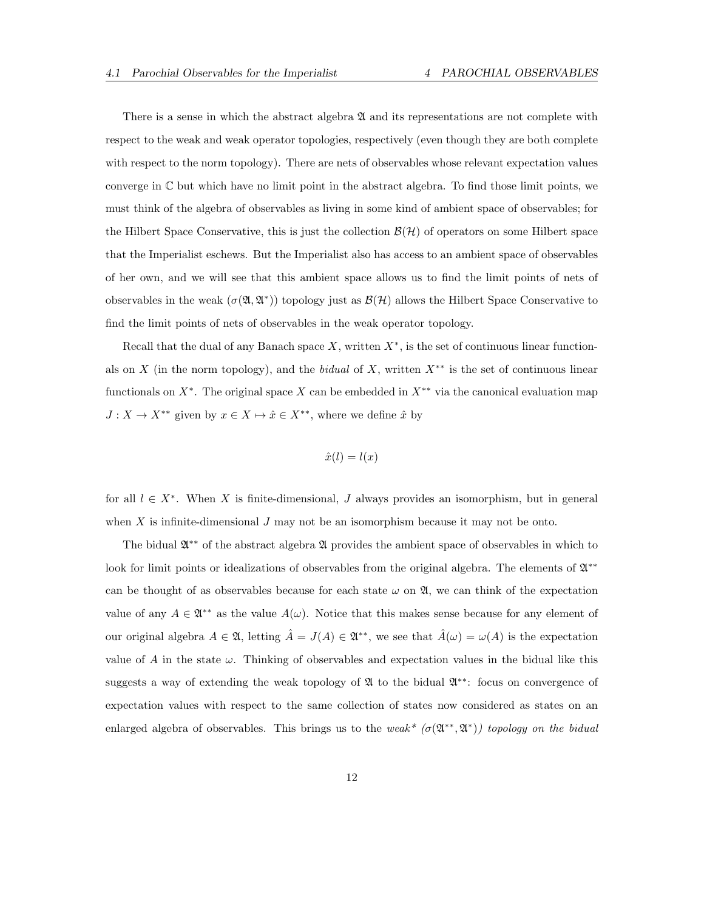There is a sense in which the abstract algebra  $\mathfrak A$  and its representations are not complete with respect to the weak and weak operator topologies, respectively (even though they are both complete with respect to the norm topology). There are nets of observables whose relevant expectation values converge in  $\mathbb C$  but which have no limit point in the abstract algebra. To find those limit points, we must think of the algebra of observables as living in some kind of ambient space of observables; for the Hilbert Space Conservative, this is just the collection  $\mathcal{B}(\mathcal{H})$  of operators on some Hilbert space that the Imperialist eschews. But the Imperialist also has access to an ambient space of observables of her own, and we will see that this ambient space allows us to find the limit points of nets of observables in the weak  $(\sigma(\mathfrak{A},\mathfrak{A}^*))$  topology just as  $\mathcal{B}(\mathcal{H})$  allows the Hilbert Space Conservative to find the limit points of nets of observables in the weak operator topology.

Recall that the dual of any Banach space  $X$ , written  $X^*$ , is the set of continuous linear functionals on X (in the norm topology), and the bidual of X, written  $X^{**}$  is the set of continuous linear functionals on  $X^*$ . The original space X can be embedded in  $X^{**}$  via the canonical evaluation map  $J: X \rightarrow X^{\ast\ast}$  given by  $x \in X \mapsto \hat{x} \in X^{\ast\ast},$  where we define  $\hat{x}$  by

$$
\hat{x}(l) = l(x)
$$

for all  $l \in X^*$ . When X is finite-dimensional, J always provides an isomorphism, but in general when  $X$  is infinite-dimensional  $J$  may not be an isomorphism because it may not be onto.

The bidual  $\mathfrak{A}^{**}$  of the abstract algebra  $\mathfrak A$  provides the ambient space of observables in which to look for limit points or idealizations of observables from the original algebra. The elements of  $\mathfrak{A}^{**}$ can be thought of as observables because for each state  $\omega$  on  $\mathfrak{A}$ , we can think of the expectation value of any  $A \in \mathfrak{A}^{**}$  as the value  $A(\omega)$ . Notice that this makes sense because for any element of our original algebra  $A \in \mathfrak{A}$ , letting  $\hat{A} = J(A) \in \mathfrak{A}^{**}$ , we see that  $\hat{A}(\omega) = \omega(A)$  is the expectation value of A in the state  $\omega$ . Thinking of observables and expectation values in the bidual like this suggests a way of extending the weak topology of **2** to the bidual  $\mathfrak{A}^{**}$ : focus on convergence of expectation values with respect to the same collection of states now considered as states on an enlarged algebra of observables. This brings us to the weak<sup>\*</sup> ( $\sigma(\mathfrak{A}^{**},\mathfrak{A}^*)$ ) topology on the bidual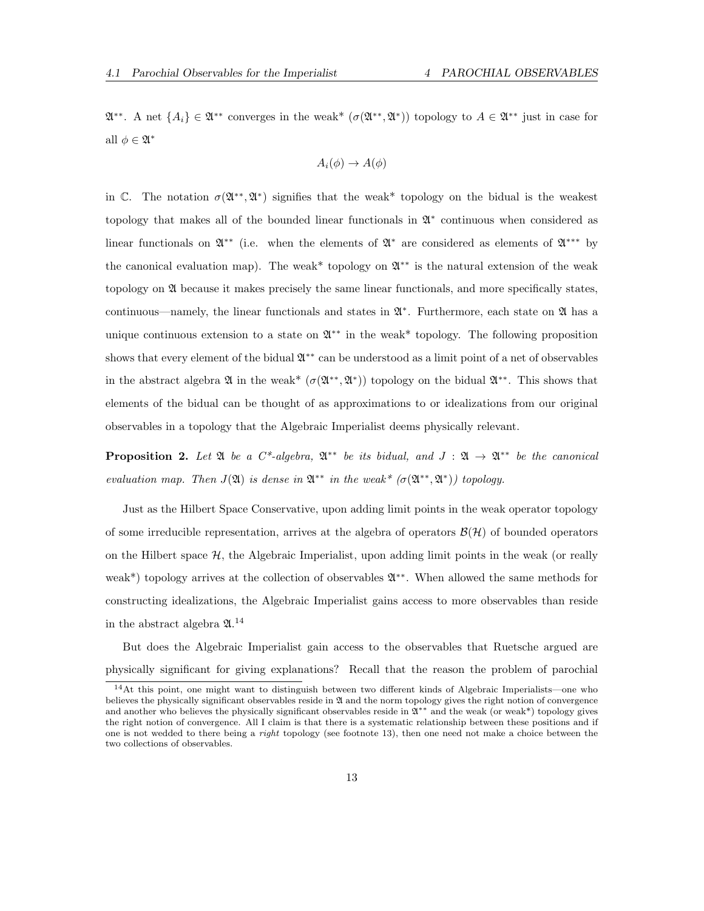$\mathfrak{A}^{**}$ . A net  $\{A_i\} \in \mathfrak{A}^{**}$  converges in the weak\*  $(\sigma(\mathfrak{A}^{**}, \mathfrak{A}^*))$  topology to  $A \in \mathfrak{A}^{**}$  just in case for all  $\phi \in \mathfrak{A}^*$ 

$$
A_i(\phi) \to A(\phi)
$$

in C. The notation  $\sigma(\mathfrak{A}^{**}, \mathfrak{A}^*)$  signifies that the weak\* topology on the bidual is the weakest topology that makes all of the bounded linear functionals in  $\mathfrak{A}^*$  continuous when considered as linear functionals on  $\mathfrak{A}^{**}$  (i.e. when the elements of  $\mathfrak{A}^*$  are considered as elements of  $\mathfrak{A}^{***}$  by the canonical evaluation map). The weak<sup>\*</sup> topology on  $\mathfrak{A}^{**}$  is the natural extension of the weak topology on A because it makes precisely the same linear functionals, and more specifically states, continuous—namely, the linear functionals and states in  $\mathfrak{A}^*$ . Furthermore, each state on  $\mathfrak{A}$  has a unique continuous extension to a state on  $\mathfrak{A}^{**}$  in the weak\* topology. The following proposition shows that every element of the bidual  $\mathfrak{A}^{**}$  can be understood as a limit point of a net of observables in the abstract algebra  $\mathfrak A$  in the weak\*  $(\sigma(\mathfrak A^{**}, \mathfrak A^*))$  topology on the bidual  $\mathfrak A^{**}$ . This shows that elements of the bidual can be thought of as approximations to or idealizations from our original observables in a topology that the Algebraic Imperialist deems physically relevant.

**Proposition 2.** Let  $\mathfrak{A}$  be a  $C^*$ -algebra,  $\mathfrak{A}^{**}$  be its bidual, and  $J: \mathfrak{A} \to \mathfrak{A}^{**}$  be the canonical evaluation map. Then  $J(\mathfrak{A})$  is dense in  $\mathfrak{A}^{**}$  in the weak\*  $(\sigma(\mathfrak{A}^{**}, \mathfrak{A}^{*}))$  topology.

Just as the Hilbert Space Conservative, upon adding limit points in the weak operator topology of some irreducible representation, arrives at the algebra of operators  $\mathcal{B}(\mathcal{H})$  of bounded operators on the Hilbert space  $H$ , the Algebraic Imperialist, upon adding limit points in the weak (or really weak<sup>\*</sup>) topology arrives at the collection of observables  $\mathfrak{A}^{**}$ . When allowed the same methods for constructing idealizations, the Algebraic Imperialist gains access to more observables than reside in the abstract algebra  $\mathfrak{A}$ .<sup>14</sup>

But does the Algebraic Imperialist gain access to the observables that Ruetsche argued are physically significant for giving explanations? Recall that the reason the problem of parochial

<sup>14</sup>At this point, one might want to distinguish between two different kinds of Algebraic Imperialists—one who believes the physically significant observables reside in  $\mathfrak A$  and the norm topology gives the right notion of convergence and another who believes the physically significant observables reside in  $\mathfrak{A}^{**}$  and the weak (or weak<sup>\*</sup>) topology gives the right notion of convergence. All I claim is that there is a systematic relationship between these positions and if one is not wedded to there being a *right* topology (see footnote 13), then one need not make a choice between the two collections of observables.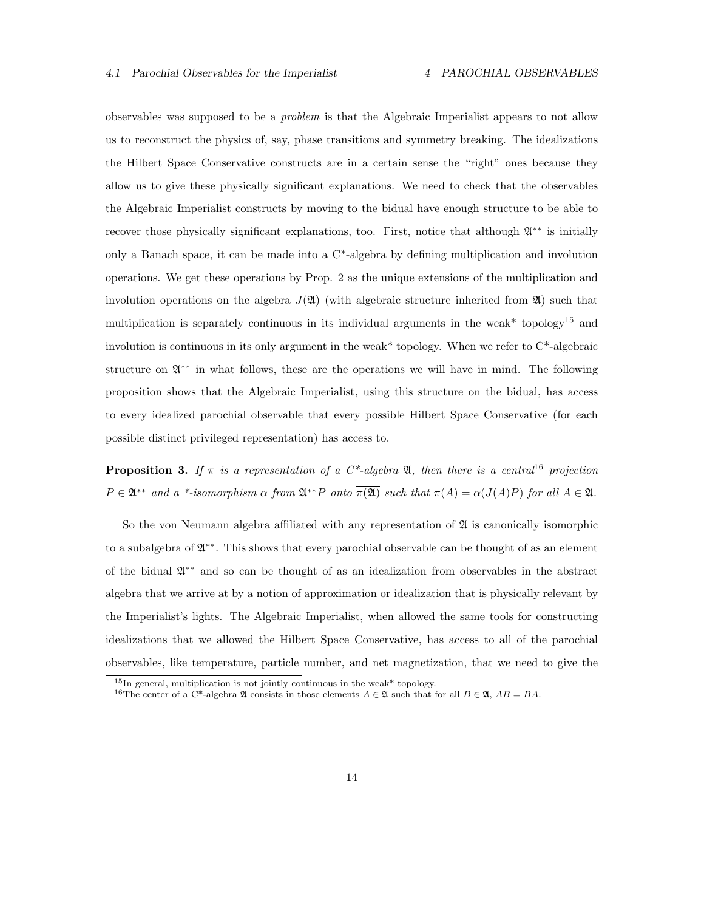observables was supposed to be a problem is that the Algebraic Imperialist appears to not allow us to reconstruct the physics of, say, phase transitions and symmetry breaking. The idealizations the Hilbert Space Conservative constructs are in a certain sense the "right" ones because they allow us to give these physically significant explanations. We need to check that the observables the Algebraic Imperialist constructs by moving to the bidual have enough structure to be able to recover those physically significant explanations, too. First, notice that although  $\mathfrak{A}^{**}$  is initially only a Banach space, it can be made into a  $C^*$ -algebra by defining multiplication and involution operations. We get these operations by Prop. 2 as the unique extensions of the multiplication and involution operations on the algebra  $J(\mathfrak{A})$  (with algebraic structure inherited from  $\mathfrak{A}$ ) such that multiplication is separately continuous in its individual arguments in the weak\* topology<sup>15</sup> and involution is continuous in its only argument in the weak\* topology. When we refer to C\*-algebraic structure on  $\mathfrak{A}^{**}$  in what follows, these are the operations we will have in mind. The following proposition shows that the Algebraic Imperialist, using this structure on the bidual, has access to every idealized parochial observable that every possible Hilbert Space Conservative (for each possible distinct privileged representation) has access to.

**Proposition 3.** If  $\pi$  is a representation of a  $C^*$ -algebra  $\mathfrak{A}$ , then there is a central<sup>16</sup> projection  $P \in \mathfrak{A}^{**}$  and a \*-isomorphism  $\alpha$  from  $\mathfrak{A}^{**}P$  onto  $\overline{\pi(\mathfrak{A})}$  such that  $\pi(A) = \alpha(J(A)P)$  for all  $A \in \mathfrak{A}$ .

So the von Neumann algebra affiliated with any representation of  $\mathfrak A$  is canonically isomorphic to a subalgebra of  $\mathfrak{A}^{**}$ . This shows that every parochial observable can be thought of as an element of the bidual A ∗∗ and so can be thought of as an idealization from observables in the abstract algebra that we arrive at by a notion of approximation or idealization that is physically relevant by the Imperialist's lights. The Algebraic Imperialist, when allowed the same tools for constructing idealizations that we allowed the Hilbert Space Conservative, has access to all of the parochial observables, like temperature, particle number, and net magnetization, that we need to give the

 $15$ In general, multiplication is not jointly continuous in the weak\* topology.

<sup>&</sup>lt;sup>16</sup>The center of a C<sup>\*</sup>-algebra  $\mathfrak A$  consists in those elements  $A \in \mathfrak A$  such that for all  $B \in \mathfrak A$ ,  $AB = BA$ .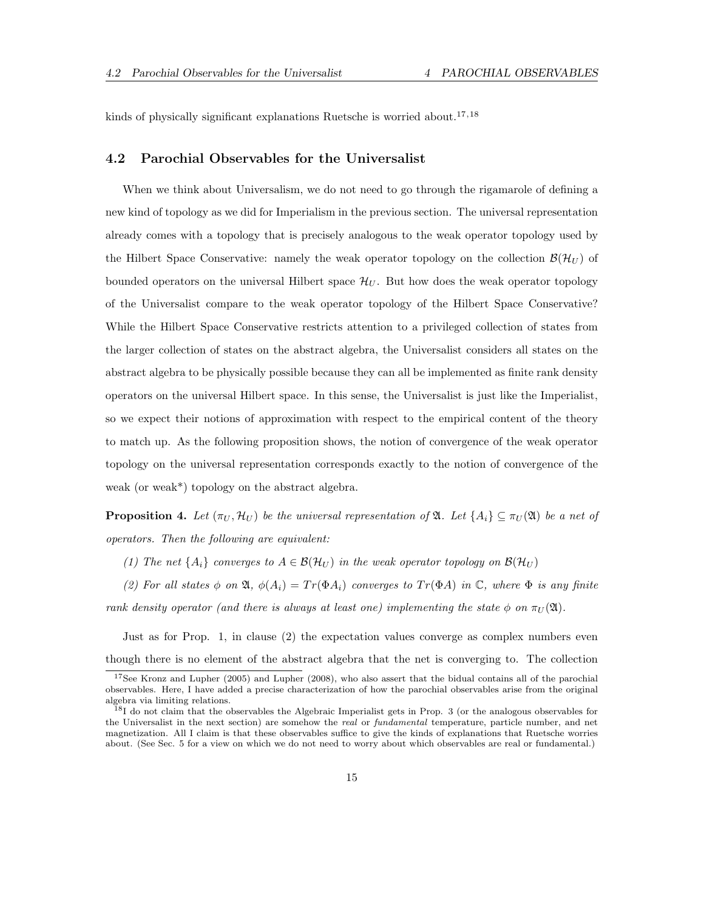kinds of physically significant explanations Ruetsche is worried about.<sup>17,18</sup>

#### 4.2 Parochial Observables for the Universalist

When we think about Universalism, we do not need to go through the rigamarole of defining a new kind of topology as we did for Imperialism in the previous section. The universal representation already comes with a topology that is precisely analogous to the weak operator topology used by the Hilbert Space Conservative: namely the weak operator topology on the collection  $\mathcal{B}(\mathcal{H}_U)$  of bounded operators on the universal Hilbert space  $\mathcal{H}_U$ . But how does the weak operator topology of the Universalist compare to the weak operator topology of the Hilbert Space Conservative? While the Hilbert Space Conservative restricts attention to a privileged collection of states from the larger collection of states on the abstract algebra, the Universalist considers all states on the abstract algebra to be physically possible because they can all be implemented as finite rank density operators on the universal Hilbert space. In this sense, the Universalist is just like the Imperialist, so we expect their notions of approximation with respect to the empirical content of the theory to match up. As the following proposition shows, the notion of convergence of the weak operator topology on the universal representation corresponds exactly to the notion of convergence of the weak (or weak\*) topology on the abstract algebra.

**Proposition 4.** Let  $(\pi_U, \mathcal{H}_U)$  be the universal representation of  $\mathfrak{A}$ . Let  $\{A_i\} \subseteq \pi_U(\mathfrak{A})$  be a net of operators. Then the following are equivalent:

(1) The net  $\{A_i\}$  converges to  $A \in \mathcal{B}(\mathcal{H}_U)$  in the weak operator topology on  $\mathcal{B}(\mathcal{H}_U)$ 

(2) For all states  $\phi$  on  $\mathfrak{A}, \phi(A_i) = Tr(\Phi A_i)$  converges to  $Tr(\Phi A)$  in  $\mathbb{C},$  where  $\Phi$  is any finite rank density operator (and there is always at least one) implementing the state  $\phi$  on  $\pi_U(\mathfrak{A})$ .

Just as for Prop. 1, in clause (2) the expectation values converge as complex numbers even though there is no element of the abstract algebra that the net is converging to. The collection

<sup>&</sup>lt;sup>17</sup>See Kronz and Lupher (2005) and Lupher (2008), who also assert that the bidual contains all of the parochial observables. Here, I have added a precise characterization of how the parochial observables arise from the original algebra via limiting relations.

<sup>&</sup>lt;sup>18</sup>I do not claim that the observables the Algebraic Imperialist gets in Prop. 3 (or the analogous observables for the Universalist in the next section) are somehow the real or fundamental temperature, particle number, and net magnetization. All I claim is that these observables suffice to give the kinds of explanations that Ruetsche worries about. (See Sec. 5 for a view on which we do not need to worry about which observables are real or fundamental.)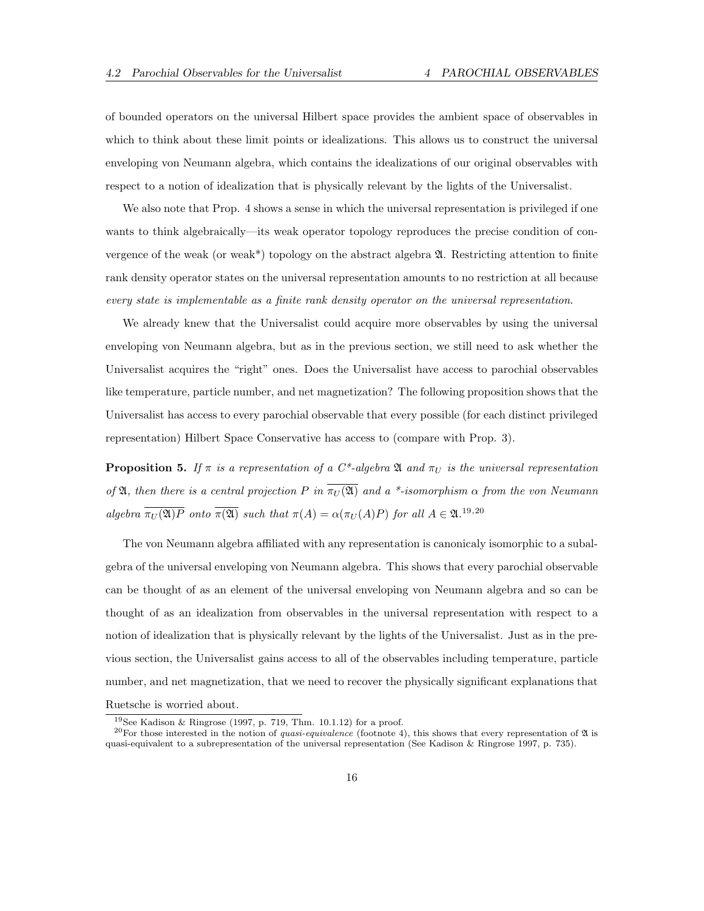of bounded operators on the universal Hilbert space provides the ambient space of observables in which to think about these limit points or idealizations. This allows us to construct the universal enveloping von Neumann algebra, which contains the idealizations of our original observables with respect to a notion of idealization that is physically relevant by the lights of the Universalist.

We also note that Prop. 4 shows a sense in which the universal representation is privileged if one wants to think algebraically—its weak operator topology reproduces the precise condition of convergence of the weak (or weak\*) topology on the abstract algebra  $\mathfrak{A}$ . Restricting attention to finite rank density operator states on the universal representation amounts to no restriction at all because every state is implementable as a finite rank density operator on the universal representation.

We already knew that the Universalist could acquire more observables by using the universal enveloping von Neumann algebra, but as in the previous section, we still need to ask whether the Universalist acquires the "right" ones. Does the Universalist have access to parochial observables like temperature, particle number, and net magnetization? The following proposition shows that the Universalist has access to every parochial observable that every possible (for each distinct privileged representation) Hilbert Space Conservative has access to (compare with Prop. 3).

**Proposition 5.** If  $\pi$  is a representation of a C\*-algebra  $\mathfrak{A}$  and  $\pi_U$  is the universal representation of **A**, then there is a central projection P in  $\overline{\pi_U(\mathfrak{A})}$  and a \*-isomorphism  $\alpha$  from the von Neumann algebra  $\overline{\pi_U(\mathfrak{A})P}$  onto  $\overline{\pi(\mathfrak{A})}$  such that  $\pi(A) = \alpha(\pi_U(A)P)$  for all  $A \in \mathfrak{A}.^{19,20}$ 

The von Neumann algebra affiliated with any representation is canonicaly isomorphic to a subalgebra of the universal enveloping von Neumann algebra. This shows that every parochial observable can be thought of as an element of the universal enveloping von Neumann algebra and so can be thought of as an idealization from observables in the universal representation with respect to a notion of idealization that is physically relevant by the lights of the Universalist. Just as in the previous section, the Universalist gains access to all of the observables including temperature, particle number, and net magnetization, that we need to recover the physically significant explanations that Ruetsche is worried about.

 $19$ See Kadison & Ringrose (1997, p. 719, Thm. 10.1.12) for a proof.

<sup>&</sup>lt;sup>20</sup>For those interested in the notion of *quasi-equivalence* (footnote 4), this shows that every representation of  $\mathfrak A$  is quasi-equivalent to a subrepresentation of the universal representation (See Kadison & Ringrose 1997, p. 735).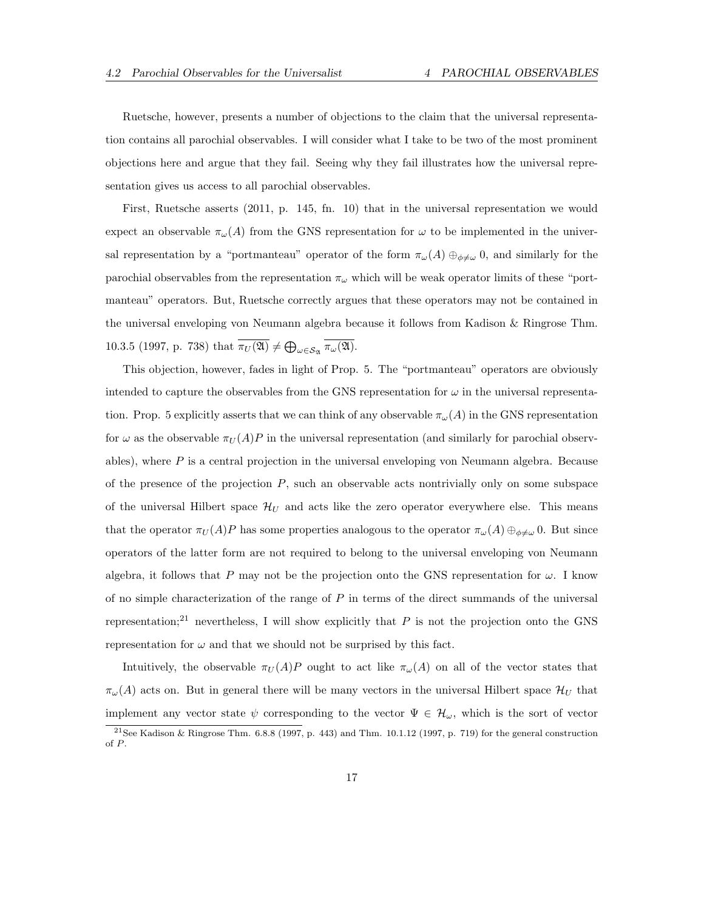Ruetsche, however, presents a number of objections to the claim that the universal representation contains all parochial observables. I will consider what I take to be two of the most prominent objections here and argue that they fail. Seeing why they fail illustrates how the universal representation gives us access to all parochial observables.

First, Ruetsche asserts (2011, p. 145, fn. 10) that in the universal representation we would expect an observable  $\pi_{\omega}(A)$  from the GNS representation for  $\omega$  to be implemented in the universal representation by a "portmanteau" operator of the form  $\pi_{\omega}(A) \oplus_{\phi \neq \omega} 0$ , and similarly for the parochial observables from the representation  $\pi_{\omega}$  which will be weak operator limits of these "portmanteau" operators. But, Ruetsche correctly argues that these operators may not be contained in the universal enveloping von Neumann algebra because it follows from Kadison & Ringrose Thm. 10.3.5 (1997, p. 738) that  $\pi_U(\mathfrak{A}) \neq \bigoplus_{\omega \in S_{\mathfrak{A}}} \pi_\omega(\mathfrak{A})$ .

This objection, however, fades in light of Prop. 5. The "portmanteau" operators are obviously intended to capture the observables from the GNS representation for  $\omega$  in the universal representation. Prop. 5 explicitly asserts that we can think of any observable  $\pi_{\omega}(A)$  in the GNS representation for  $\omega$  as the observable  $\pi_U(A)P$  in the universal representation (and similarly for parochial observables), where  $P$  is a central projection in the universal enveloping von Neumann algebra. Because of the presence of the projection  $P$ , such an observable acts nontrivially only on some subspace of the universal Hilbert space  $\mathcal{H}_U$  and acts like the zero operator everywhere else. This means that the operator  $\pi_U(A)P$  has some properties analogous to the operator  $\pi_\omega(A) \oplus_{\phi \neq \omega} 0$ . But since operators of the latter form are not required to belong to the universal enveloping von Neumann algebra, it follows that P may not be the projection onto the GNS representation for  $\omega$ . I know of no simple characterization of the range of  $P$  in terms of the direct summands of the universal representation;<sup>21</sup> nevertheless, I will show explicitly that P is not the projection onto the GNS representation for  $\omega$  and that we should not be surprised by this fact.

Intuitively, the observable  $\pi_U(A)P$  ought to act like  $\pi_\omega(A)$  on all of the vector states that  $\pi_{\omega}(A)$  acts on. But in general there will be many vectors in the universal Hilbert space  $\mathcal{H}_U$  that implement any vector state  $\psi$  corresponding to the vector  $\Psi \in \mathcal{H}_{\omega}$ , which is the sort of vector

 $21$ See Kadison & Ringrose Thm. 6.8.8 (1997, p. 443) and Thm. 10.1.12 (1997, p. 719) for the general construction of P.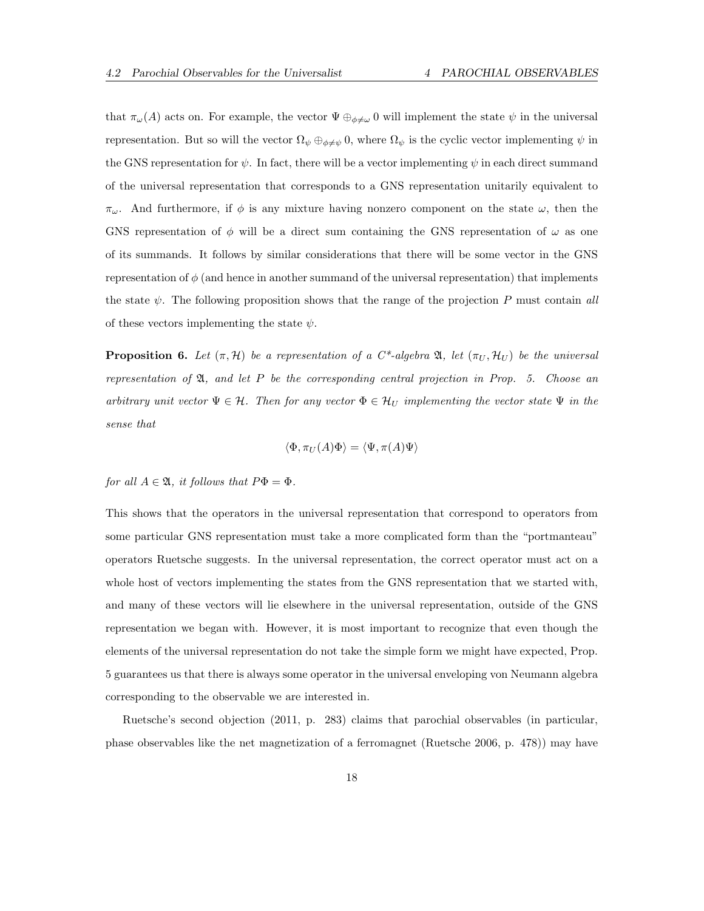that  $\pi_\omega(A)$  acts on. For example, the vector  $\Psi \oplus_{\phi \neq \omega} 0$  will implement the state  $\psi$  in the universal representation. But so will the vector  $\Omega_{\psi} \oplus_{\phi \neq \psi} 0$ , where  $\Omega_{\psi}$  is the cyclic vector implementing  $\psi$  in the GNS representation for  $\psi$ . In fact, there will be a vector implementing  $\psi$  in each direct summand of the universal representation that corresponds to a GNS representation unitarily equivalent to  $\pi_{\omega}$ . And furthermore, if  $\phi$  is any mixture having nonzero component on the state  $\omega$ , then the GNS representation of  $\phi$  will be a direct sum containing the GNS representation of  $\omega$  as one of its summands. It follows by similar considerations that there will be some vector in the GNS representation of  $\phi$  (and hence in another summand of the universal representation) that implements the state  $\psi$ . The following proposition shows that the range of the projection P must contain all of these vectors implementing the state  $\psi$ .

**Proposition 6.** Let  $(\pi, \mathcal{H})$  be a representation of a C<sup>\*</sup>-algebra  $\mathfrak{A}$ , let  $(\pi_U, \mathcal{H}_U)$  be the universal representation of  $\mathfrak{A}$ , and let P be the corresponding central projection in Prop. 5. Choose an arbitrary unit vector  $\Psi \in \mathcal{H}$ . Then for any vector  $\Phi \in \mathcal{H}_U$  implementing the vector state  $\Psi$  in the sense that

$$
\langle \Phi, \pi_U(A)\Phi\rangle = \langle \Psi, \pi(A)\Psi\rangle
$$

for all  $A \in \mathfrak{A}$ , it follows that  $P\Phi = \Phi$ .

This shows that the operators in the universal representation that correspond to operators from some particular GNS representation must take a more complicated form than the "portmanteau" operators Ruetsche suggests. In the universal representation, the correct operator must act on a whole host of vectors implementing the states from the GNS representation that we started with, and many of these vectors will lie elsewhere in the universal representation, outside of the GNS representation we began with. However, it is most important to recognize that even though the elements of the universal representation do not take the simple form we might have expected, Prop. 5 guarantees us that there is always some operator in the universal enveloping von Neumann algebra corresponding to the observable we are interested in.

Ruetsche's second objection (2011, p. 283) claims that parochial observables (in particular, phase observables like the net magnetization of a ferromagnet (Ruetsche 2006, p. 478)) may have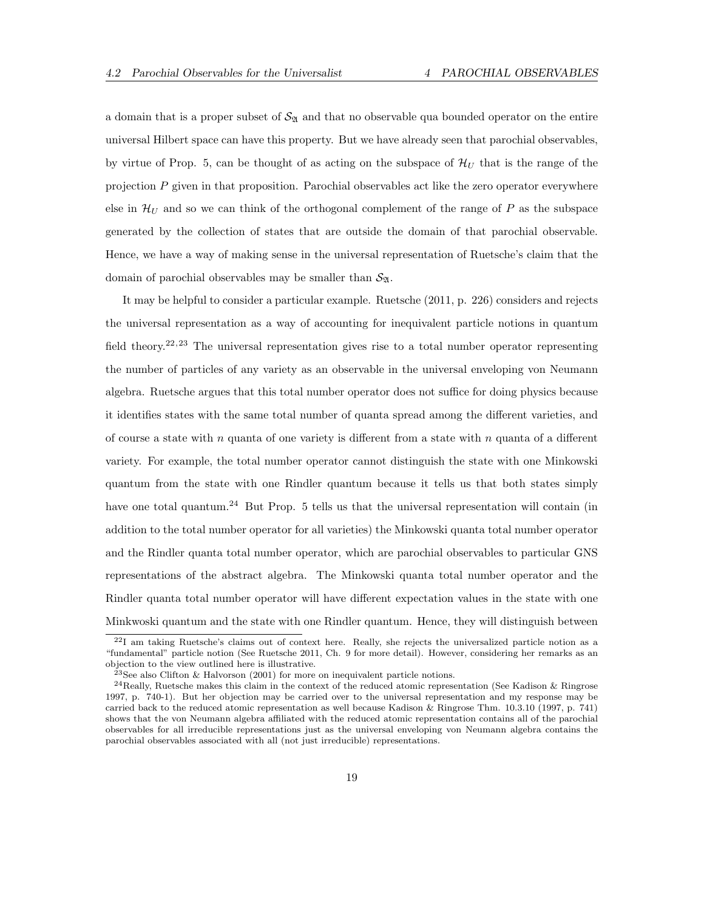a domain that is a proper subset of  $\mathcal{S}_{\mathfrak{A}}$  and that no observable qua bounded operator on the entire universal Hilbert space can have this property. But we have already seen that parochial observables, by virtue of Prop. 5, can be thought of as acting on the subspace of  $\mathcal{H}_U$  that is the range of the projection P given in that proposition. Parochial observables act like the zero operator everywhere else in  $\mathcal{H}_U$  and so we can think of the orthogonal complement of the range of P as the subspace generated by the collection of states that are outside the domain of that parochial observable. Hence, we have a way of making sense in the universal representation of Ruetsche's claim that the domain of parochial observables may be smaller than  $\mathcal{S}_{\mathfrak{A}}$ .

It may be helpful to consider a particular example. Ruetsche (2011, p. 226) considers and rejects the universal representation as a way of accounting for inequivalent particle notions in quantum field theory.<sup>22,23</sup> The universal representation gives rise to a total number operator representing the number of particles of any variety as an observable in the universal enveloping von Neumann algebra. Ruetsche argues that this total number operator does not suffice for doing physics because it identifies states with the same total number of quanta spread among the different varieties, and of course a state with  $n$  quanta of one variety is different from a state with  $n$  quanta of a different variety. For example, the total number operator cannot distinguish the state with one Minkowski quantum from the state with one Rindler quantum because it tells us that both states simply have one total quantum.<sup>24</sup> But Prop. 5 tells us that the universal representation will contain (in addition to the total number operator for all varieties) the Minkowski quanta total number operator and the Rindler quanta total number operator, which are parochial observables to particular GNS representations of the abstract algebra. The Minkowski quanta total number operator and the Rindler quanta total number operator will have different expectation values in the state with one Minkwoski quantum and the state with one Rindler quantum. Hence, they will distinguish between

<sup>22</sup>I am taking Ruetsche's claims out of context here. Really, she rejects the universalized particle notion as a "fundamental" particle notion (See Ruetsche 2011, Ch. 9 for more detail). However, considering her remarks as an objection to the view outlined here is illustrative.

<sup>&</sup>lt;sup>23</sup>See also Clifton & Halvorson  $(2001)$  for more on inequivalent particle notions.

<sup>24</sup>Really, Ruetsche makes this claim in the context of the reduced atomic representation (See Kadison & Ringrose 1997, p. 740-1). But her objection may be carried over to the universal representation and my response may be carried back to the reduced atomic representation as well because Kadison & Ringrose Thm. 10.3.10 (1997, p. 741) shows that the von Neumann algebra affiliated with the reduced atomic representation contains all of the parochial observables for all irreducible representations just as the universal enveloping von Neumann algebra contains the parochial observables associated with all (not just irreducible) representations.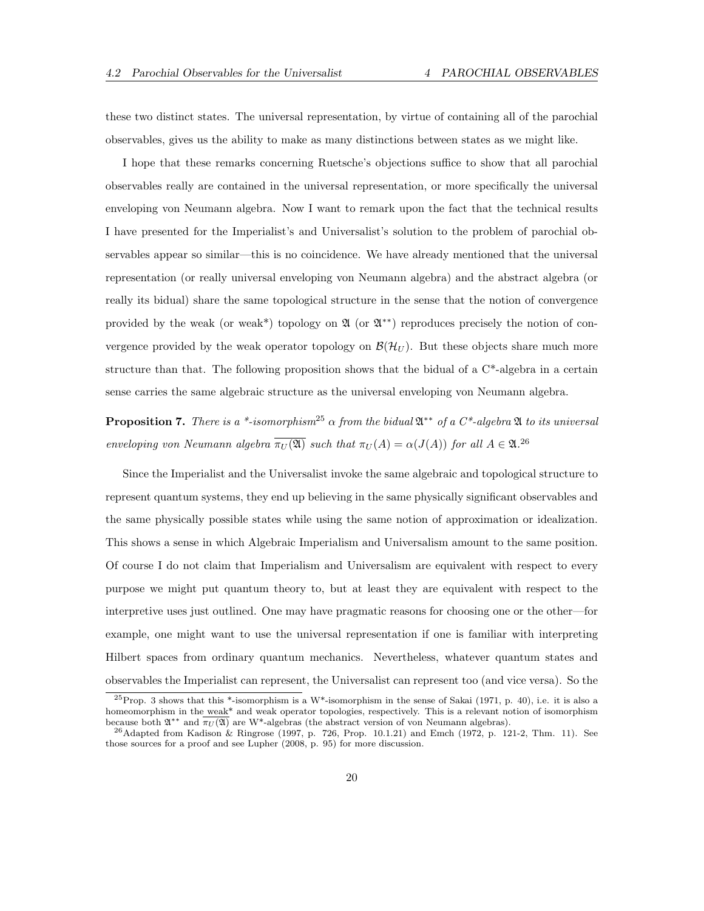these two distinct states. The universal representation, by virtue of containing all of the parochial observables, gives us the ability to make as many distinctions between states as we might like.

I hope that these remarks concerning Ruetsche's objections suffice to show that all parochial observables really are contained in the universal representation, or more specifically the universal enveloping von Neumann algebra. Now I want to remark upon the fact that the technical results I have presented for the Imperialist's and Universalist's solution to the problem of parochial observables appear so similar—this is no coincidence. We have already mentioned that the universal representation (or really universal enveloping von Neumann algebra) and the abstract algebra (or really its bidual) share the same topological structure in the sense that the notion of convergence provided by the weak (or weak<sup>\*</sup>) topology on  $\mathfrak A$  (or  $\mathfrak A^{**}$ ) reproduces precisely the notion of convergence provided by the weak operator topology on  $\mathcal{B}(\mathcal{H}_U)$ . But these objects share much more structure than that. The following proposition shows that the bidual of a  $C^*$ -algebra in a certain sense carries the same algebraic structure as the universal enveloping von Neumann algebra.

**Proposition 7.** There is a \*-isomorphism<sup>25</sup>  $\alpha$  from the bidual  $\mathfrak{A}^{**}$  of a C\*-algebra  $\mathfrak{A}$  to its universal enveloping von Neumann algebra  $\overline{\pi_U(\mathfrak{A})}$  such that  $\pi_U(A) = \alpha(J(A))$  for all  $A \in \mathfrak{A}^{26}$ 

Since the Imperialist and the Universalist invoke the same algebraic and topological structure to represent quantum systems, they end up believing in the same physically significant observables and the same physically possible states while using the same notion of approximation or idealization. This shows a sense in which Algebraic Imperialism and Universalism amount to the same position. Of course I do not claim that Imperialism and Universalism are equivalent with respect to every purpose we might put quantum theory to, but at least they are equivalent with respect to the interpretive uses just outlined. One may have pragmatic reasons for choosing one or the other—for example, one might want to use the universal representation if one is familiar with interpreting Hilbert spaces from ordinary quantum mechanics. Nevertheless, whatever quantum states and observables the Imperialist can represent, the Universalist can represent too (and vice versa). So the

 $^{25}$ Prop. 3 shows that this \*-isomorphism is a W\*-isomorphism in the sense of Sakai (1971, p. 40), i.e. it is also a homeomorphism in the weak<sup>\*</sup> and weak operator topologies, respectively. This is a relevant notion of isomorphism because both  $\mathfrak{A}^{**}$  and  $\overline{\pi_U(\mathfrak{A})}$  are W\*-algebras (the abstract version of von Neumann algebras).

<sup>26</sup>Adapted from Kadison & Ringrose (1997, p. 726, Prop. 10.1.21) and Emch (1972, p. 121-2, Thm. 11). See those sources for a proof and see Lupher (2008, p. 95) for more discussion.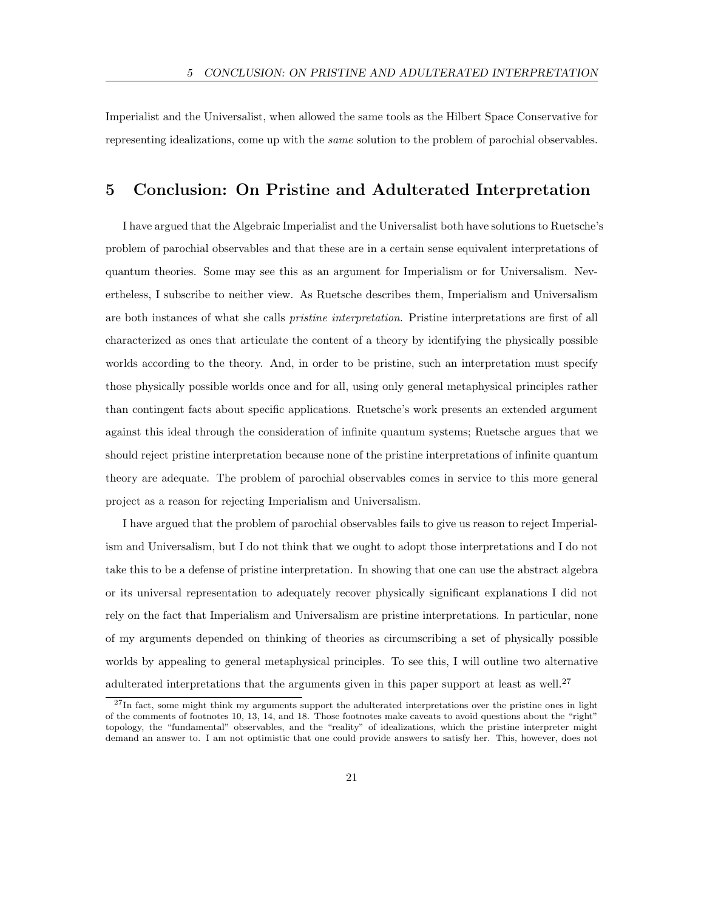Imperialist and the Universalist, when allowed the same tools as the Hilbert Space Conservative for representing idealizations, come up with the *same* solution to the problem of parochial observables.

### 5 Conclusion: On Pristine and Adulterated Interpretation

I have argued that the Algebraic Imperialist and the Universalist both have solutions to Ruetsche's problem of parochial observables and that these are in a certain sense equivalent interpretations of quantum theories. Some may see this as an argument for Imperialism or for Universalism. Nevertheless, I subscribe to neither view. As Ruetsche describes them, Imperialism and Universalism are both instances of what she calls pristine interpretation. Pristine interpretations are first of all characterized as ones that articulate the content of a theory by identifying the physically possible worlds according to the theory. And, in order to be pristine, such an interpretation must specify those physically possible worlds once and for all, using only general metaphysical principles rather than contingent facts about specific applications. Ruetsche's work presents an extended argument against this ideal through the consideration of infinite quantum systems; Ruetsche argues that we should reject pristine interpretation because none of the pristine interpretations of infinite quantum theory are adequate. The problem of parochial observables comes in service to this more general project as a reason for rejecting Imperialism and Universalism.

I have argued that the problem of parochial observables fails to give us reason to reject Imperialism and Universalism, but I do not think that we ought to adopt those interpretations and I do not take this to be a defense of pristine interpretation. In showing that one can use the abstract algebra or its universal representation to adequately recover physically significant explanations I did not rely on the fact that Imperialism and Universalism are pristine interpretations. In particular, none of my arguments depended on thinking of theories as circumscribing a set of physically possible worlds by appealing to general metaphysical principles. To see this, I will outline two alternative adulterated interpretations that the arguments given in this paper support at least as well.<sup>27</sup>

<sup>&</sup>lt;sup>27</sup>In fact, some might think my arguments support the adulterated interpretations over the pristine ones in light of the comments of footnotes 10, 13, 14, and 18. Those footnotes make caveats to avoid questions about the "right" topology, the "fundamental" observables, and the "reality" of idealizations, which the pristine interpreter might demand an answer to. I am not optimistic that one could provide answers to satisfy her. This, however, does not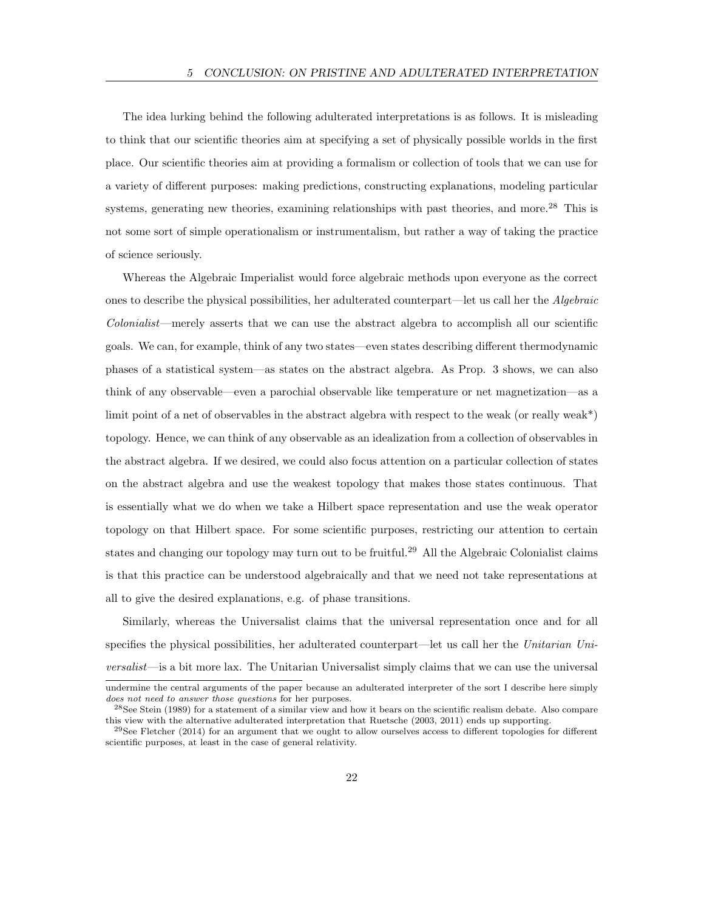The idea lurking behind the following adulterated interpretations is as follows. It is misleading to think that our scientific theories aim at specifying a set of physically possible worlds in the first place. Our scientific theories aim at providing a formalism or collection of tools that we can use for a variety of different purposes: making predictions, constructing explanations, modeling particular systems, generating new theories, examining relationships with past theories, and more.<sup>28</sup> This is not some sort of simple operationalism or instrumentalism, but rather a way of taking the practice of science seriously.

Whereas the Algebraic Imperialist would force algebraic methods upon everyone as the correct ones to describe the physical possibilities, her adulterated counterpart—let us call her the Algebraic Colonialist—merely asserts that we can use the abstract algebra to accomplish all our scientific goals. We can, for example, think of any two states—even states describing different thermodynamic phases of a statistical system—as states on the abstract algebra. As Prop. 3 shows, we can also think of any observable—even a parochial observable like temperature or net magnetization—as a limit point of a net of observables in the abstract algebra with respect to the weak (or really weak<sup>\*</sup>) topology. Hence, we can think of any observable as an idealization from a collection of observables in the abstract algebra. If we desired, we could also focus attention on a particular collection of states on the abstract algebra and use the weakest topology that makes those states continuous. That is essentially what we do when we take a Hilbert space representation and use the weak operator topology on that Hilbert space. For some scientific purposes, restricting our attention to certain states and changing our topology may turn out to be fruitful.<sup>29</sup> All the Algebraic Colonialist claims is that this practice can be understood algebraically and that we need not take representations at all to give the desired explanations, e.g. of phase transitions.

Similarly, whereas the Universalist claims that the universal representation once and for all specifies the physical possibilities, her adulterated counterpart—let us call her the Unitarian Universalist—is a bit more lax. The Unitarian Universalist simply claims that we can use the universal

undermine the central arguments of the paper because an adulterated interpreter of the sort I describe here simply does not need to answer those questions for her purposes.

<sup>28</sup>See Stein (1989) for a statement of a similar view and how it bears on the scientific realism debate. Also compare this view with the alternative adulterated interpretation that Ruetsche (2003, 2011) ends up supporting.

 $29$ See Fletcher (2014) for an argument that we ought to allow ourselves access to different topologies for different scientific purposes, at least in the case of general relativity.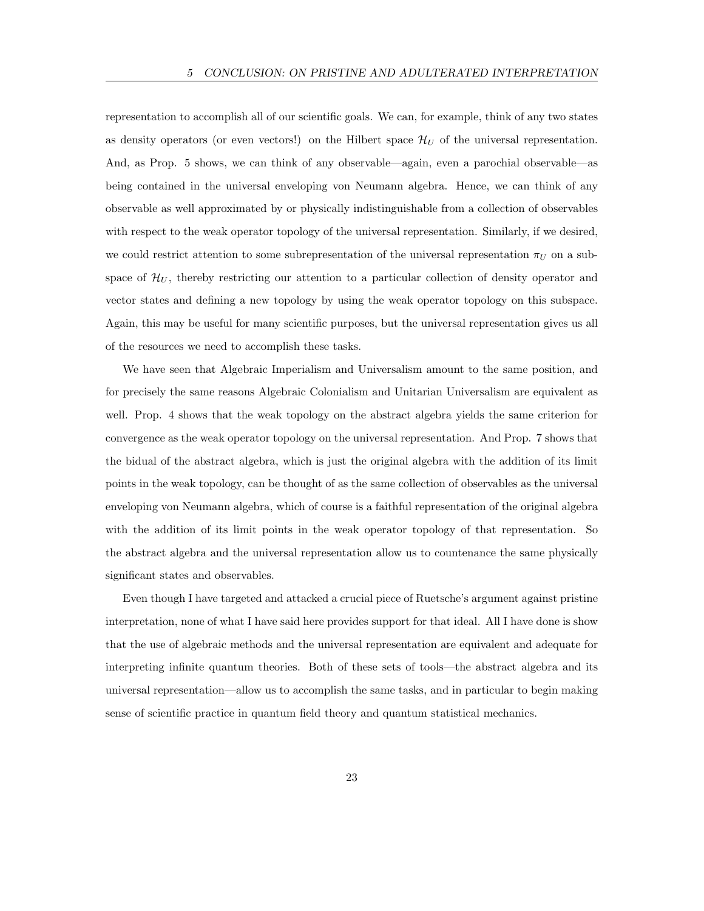representation to accomplish all of our scientific goals. We can, for example, think of any two states as density operators (or even vectors!) on the Hilbert space  $\mathcal{H}_U$  of the universal representation. And, as Prop. 5 shows, we can think of any observable—again, even a parochial observable—as being contained in the universal enveloping von Neumann algebra. Hence, we can think of any observable as well approximated by or physically indistinguishable from a collection of observables with respect to the weak operator topology of the universal representation. Similarly, if we desired, we could restrict attention to some subrepresentation of the universal representation  $\pi_U$  on a subspace of  $\mathcal{H}_U$ , thereby restricting our attention to a particular collection of density operator and vector states and defining a new topology by using the weak operator topology on this subspace. Again, this may be useful for many scientific purposes, but the universal representation gives us all of the resources we need to accomplish these tasks.

We have seen that Algebraic Imperialism and Universalism amount to the same position, and for precisely the same reasons Algebraic Colonialism and Unitarian Universalism are equivalent as well. Prop. 4 shows that the weak topology on the abstract algebra yields the same criterion for convergence as the weak operator topology on the universal representation. And Prop. 7 shows that the bidual of the abstract algebra, which is just the original algebra with the addition of its limit points in the weak topology, can be thought of as the same collection of observables as the universal enveloping von Neumann algebra, which of course is a faithful representation of the original algebra with the addition of its limit points in the weak operator topology of that representation. So the abstract algebra and the universal representation allow us to countenance the same physically significant states and observables.

Even though I have targeted and attacked a crucial piece of Ruetsche's argument against pristine interpretation, none of what I have said here provides support for that ideal. All I have done is show that the use of algebraic methods and the universal representation are equivalent and adequate for interpreting infinite quantum theories. Both of these sets of tools—the abstract algebra and its universal representation—allow us to accomplish the same tasks, and in particular to begin making sense of scientific practice in quantum field theory and quantum statistical mechanics.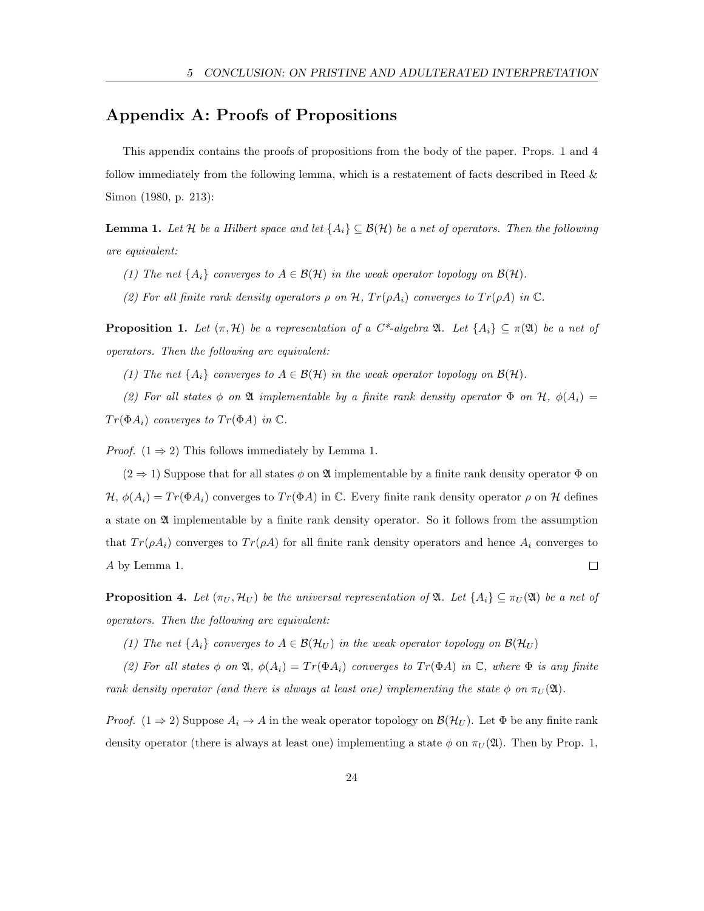## Appendix A: Proofs of Propositions

This appendix contains the proofs of propositions from the body of the paper. Props. 1 and 4 follow immediately from the following lemma, which is a restatement of facts described in Reed & Simon (1980, p. 213):

**Lemma 1.** Let H be a Hilbert space and let  $\{A_i\} \subseteq \mathcal{B}(\mathcal{H})$  be a net of operators. Then the following are equivalent:

- (1) The net  $\{A_i\}$  converges to  $A \in \mathcal{B}(\mathcal{H})$  in the weak operator topology on  $\mathcal{B}(\mathcal{H})$ .
- (2) For all finite rank density operators  $\rho$  on H,  $Tr(\rho A_i)$  converges to  $Tr(\rho A)$  in  $\mathbb{C}$ .

**Proposition 1.** Let  $(\pi, \mathcal{H})$  be a representation of a C<sup>\*</sup>-algebra  $\mathfrak{A}$ . Let  $\{A_i\} \subseteq \pi(\mathfrak{A})$  be a net of operators. Then the following are equivalent:

(1) The net  $\{A_i\}$  converges to  $A \in \mathcal{B}(\mathcal{H})$  in the weak operator topology on  $\mathcal{B}(\mathcal{H})$ .

(2) For all states  $\phi$  on  $\mathfrak A$  implementable by a finite rank density operator  $\Phi$  on  $\mathcal H$ ,  $\phi(A_i)$  $Tr(\Phi A_i)$  converges to  $Tr(\Phi A)$  in  $\mathbb{C}$ .

*Proof.*  $(1 \Rightarrow 2)$  This follows immediately by Lemma 1.

 $(2 \Rightarrow 1)$  Suppose that for all states  $\phi$  on  $\mathfrak A$  implementable by a finite rank density operator  $\Phi$  on  $\mathcal{H}, \phi(A_i) = Tr(\Phi A_i)$  converges to  $Tr(\Phi A)$  in  $\mathbb{C}$ . Every finite rank density operator  $\rho$  on  $\mathcal{H}$  defines a state on  $\mathfrak A$  implementable by a finite rank density operator. So it follows from the assumption that  $Tr(\rho A_i)$  converges to  $Tr(\rho A)$  for all finite rank density operators and hence  $A_i$  converges to A by Lemma 1.  $\Box$ 

**Proposition 4.** Let  $(\pi_U, \mathcal{H}_U)$  be the universal representation of  $\mathfrak{A}$ . Let  $\{A_i\} \subseteq \pi_U(\mathfrak{A})$  be a net of operators. Then the following are equivalent:

(1) The net  $\{A_i\}$  converges to  $A \in \mathcal{B}(\mathcal{H}_U)$  in the weak operator topology on  $\mathcal{B}(\mathcal{H}_U)$ 

(2) For all states  $\phi$  on  $\mathfrak{A}, \phi(A_i) = Tr(\Phi A_i)$  converges to  $Tr(\Phi A)$  in  $\mathbb{C}$ , where  $\Phi$  is any finite rank density operator (and there is always at least one) implementing the state  $\phi$  on  $\pi_U(\mathfrak{A})$ .

*Proof.* (1  $\Rightarrow$  2) Suppose  $A_i \rightarrow A$  in the weak operator topology on  $\mathcal{B}(\mathcal{H}_U)$ . Let  $\Phi$  be any finite rank density operator (there is always at least one) implementing a state  $\phi$  on  $\pi_U(\mathfrak{A})$ . Then by Prop. 1,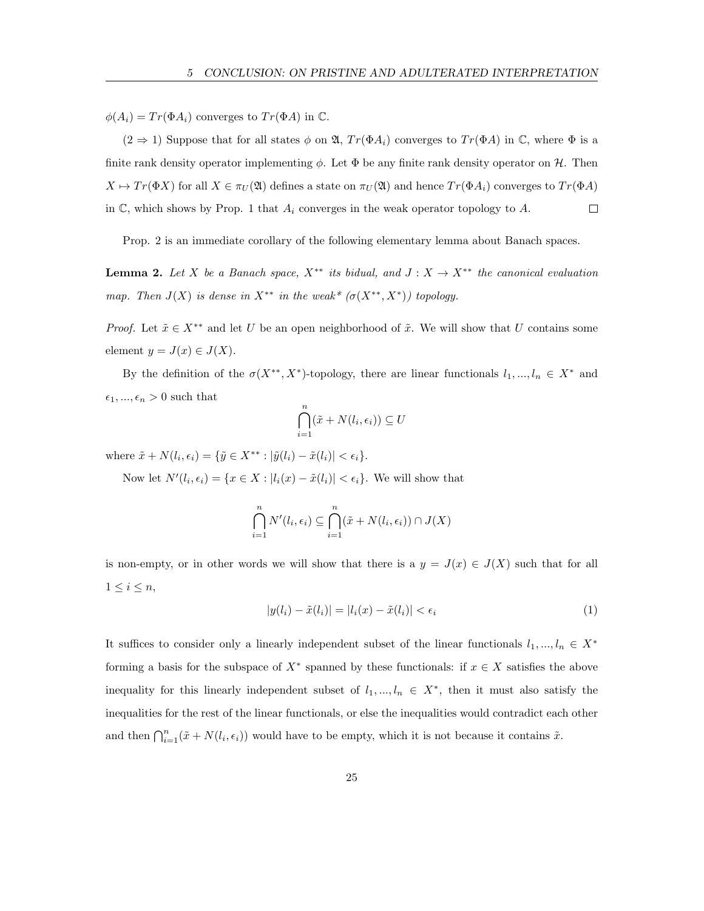$\phi(A_i) = Tr(\Phi A_i)$  converges to  $Tr(\Phi A)$  in  $\mathbb{C}$ .

 $(2 \Rightarrow 1)$  Suppose that for all states  $\phi$  on  $\mathfrak{A}$ ,  $Tr(\Phi A_i)$  converges to  $Tr(\Phi A)$  in  $\mathbb{C}$ , where  $\Phi$  is a finite rank density operator implementing  $\phi$ . Let  $\Phi$  be any finite rank density operator on H. Then  $X \mapsto Tr(\Phi X)$  for all  $X \in \pi_U(\mathfrak{A})$  defines a state on  $\pi_U(\mathfrak{A})$  and hence  $Tr(\Phi A_i)$  converges to  $Tr(\Phi A)$ in  $\mathbb{C}$ , which shows by Prop. 1 that  $A_i$  converges in the weak operator topology to  $A$ .  $\Box$ 

Prop. 2 is an immediate corollary of the following elementary lemma about Banach spaces.

**Lemma 2.** Let X be a Banach space,  $X^{**}$  its bidual, and  $J: X \to X^{**}$  the canonical evaluation map. Then  $J(X)$  is dense in  $X^{**}$  in the weak\*  $(\sigma(X^{**}, X^*))$  topology.

*Proof.* Let  $\tilde{x} \in X^{**}$  and let U be an open neighborhood of  $\tilde{x}$ . We will show that U contains some element  $y = J(x) \in J(X)$ .

By the definition of the  $\sigma(X^{**}, X^*)$ -topology, there are linear functionals  $l_1, ..., l_n \in X^*$  and  $\epsilon_1, ..., \epsilon_n > 0$  such that

$$
\bigcap_{i=1}^{n} (\tilde{x} + N(l_i, \epsilon_i)) \subseteq U
$$

where  $\tilde{x} + N(l_i, \epsilon_i) = {\tilde{y} \in X^{**} : |\tilde{y}(l_i) - \tilde{x}(l_i)| < \epsilon_i}.$ 

Now let  $N'(l_i, \epsilon_i) = \{x \in X : |l_i(x) - \tilde{x}(l_i)| < \epsilon_i\}$ . We will show that

$$
\bigcap_{i=1}^{n} N'(l_i, \epsilon_i) \subseteq \bigcap_{i=1}^{n} (\tilde{x} + N(l_i, \epsilon_i)) \cap J(X)
$$

is non-empty, or in other words we will show that there is a  $y = J(x) \in J(X)$  such that for all  $1 \leq i \leq n$ ,

$$
|y(l_i) - \tilde{x}(l_i)| = |l_i(x) - \tilde{x}(l_i)| < \epsilon_i \tag{1}
$$

It suffices to consider only a linearly independent subset of the linear functionals  $l_1, ..., l_n \in X^*$ forming a basis for the subspace of  $X^*$  spanned by these functionals: if  $x \in X$  satisfies the above inequality for this linearly independent subset of  $l_1, ..., l_n \in X^*$ , then it must also satisfy the inequalities for the rest of the linear functionals, or else the inequalities would contradict each other and then  $\bigcap_{i=1}^n (\tilde{x} + N(l_i, \epsilon_i))$  would have to be empty, which it is not because it contains  $\tilde{x}$ .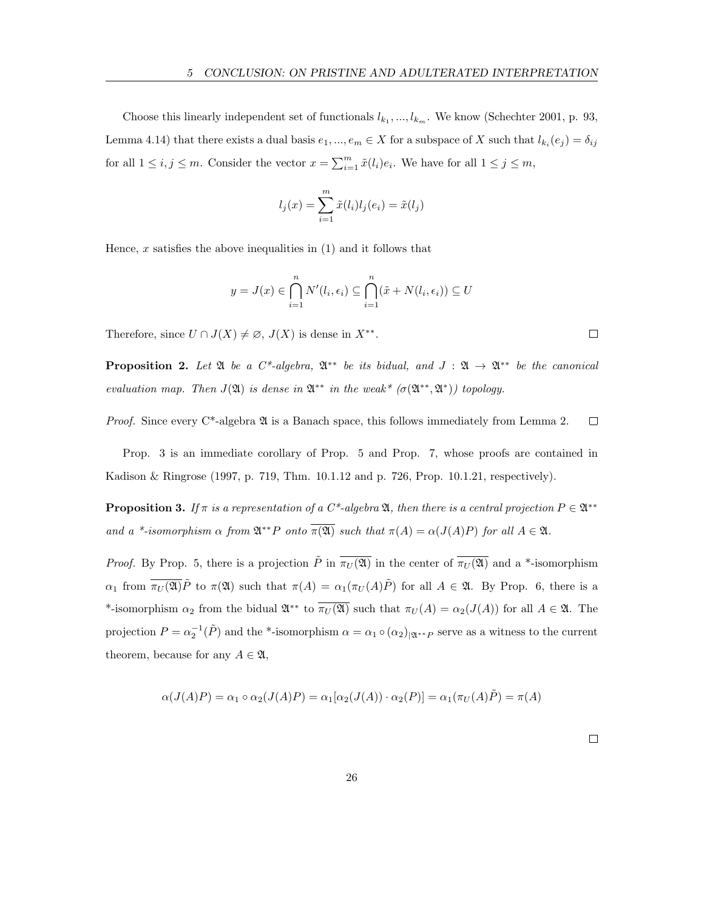Choose this linearly independent set of functionals  $l_{k_1},...,l_{k_m}$ . We know (Schechter 2001, p. 93, Lemma 4.14) that there exists a dual basis  $e_1, ..., e_m \in X$  for a subspace of X such that  $l_{k_i}(e_j) = \delta_{ij}$ for all  $1 \le i, j \le m$ . Consider the vector  $x = \sum_{i=1}^{m} \tilde{x}(l_i) e_i$ . We have for all  $1 \le j \le m$ ,

$$
l_j(x) = \sum_{i=1}^{m} \tilde{x}(l_i) l_j(e_i) = \tilde{x}(l_j)
$$

Hence, x satisfies the above inequalities in  $(1)$  and it follows that

$$
y = J(x) \in \bigcap_{i=1}^{n} N'(l_i, \epsilon_i) \subseteq \bigcap_{i=1}^{n} (\tilde{x} + N(l_i, \epsilon_i)) \subseteq U
$$

Therefore, since  $U \cap J(X) \neq \emptyset$ ,  $J(X)$  is dense in  $X^{**}$ .

**Proposition 2.** Let  $\mathfrak{A}$  be a  $C^*$ -algebra,  $\mathfrak{A}^{**}$  be its bidual, and  $J : \mathfrak{A} \to \mathfrak{A}^{**}$  be the canonical evaluation map. Then  $J(\mathfrak{A})$  is dense in  $\mathfrak{A}^{**}$  in the weak\*  $(\sigma(\mathfrak{A}^{**}, \mathfrak{A}^*))$  topology.

*Proof.* Since every  $C^*$ -algebra  $\mathfrak A$  is a Banach space, this follows immediately from Lemma 2.  $\Box$ 

Prop. 3 is an immediate corollary of Prop. 5 and Prop. 7, whose proofs are contained in Kadison & Ringrose (1997, p. 719, Thm. 10.1.12 and p. 726, Prop. 10.1.21, respectively).

**Proposition 3.** If  $\pi$  is a representation of a C<sup>\*</sup>-algebra  $\mathfrak{A}$ , then there is a central projection  $P \in \mathfrak{A}^{**}$ and a \*-isomorphism  $\alpha$  from  $\mathfrak{A}^{**}P$  onto  $\overline{\pi(\mathfrak{A})}$  such that  $\pi(A) = \alpha(J(A)P)$  for all  $A \in \mathfrak{A}$ .

*Proof.* By Prop. 5, there is a projection  $\tilde{P}$  in  $\overline{\pi_U(\mathfrak{A})}$  in the center of  $\overline{\pi_U(\mathfrak{A})}$  and a \*-isomorphism  $\alpha_1$  from  $\overline{\pi_U(\mathfrak{A})}\tilde{P}$  to  $\pi(\mathfrak{A})$  such that  $\pi(A) = \alpha_1(\pi_U(A)\tilde{P})$  for all  $A \in \mathfrak{A}$ . By Prop. 6, there is a \*-isomorphism  $\alpha_2$  from the bidual  $\mathfrak{A}^{**}$  to  $\overline{\pi_U(\mathfrak{A})}$  such that  $\pi_U(A) = \alpha_2(J(A))$  for all  $A \in \mathfrak{A}$ . The projection  $P = \alpha_2^{-1}(\tilde{P})$  and the \*-isomorphism  $\alpha = \alpha_1 \circ (\alpha_2)_{|\mathfrak{A}^{**}P}$  serve as a witness to the current theorem, because for any  $A \in \mathfrak{A}$ ,

$$
\alpha(J(A)P) = \alpha_1 \circ \alpha_2(J(A)P) = \alpha_1[\alpha_2(J(A)) \cdot \alpha_2(P)] = \alpha_1(\pi_U(A)\tilde{P}) = \pi(A)
$$

 $\Box$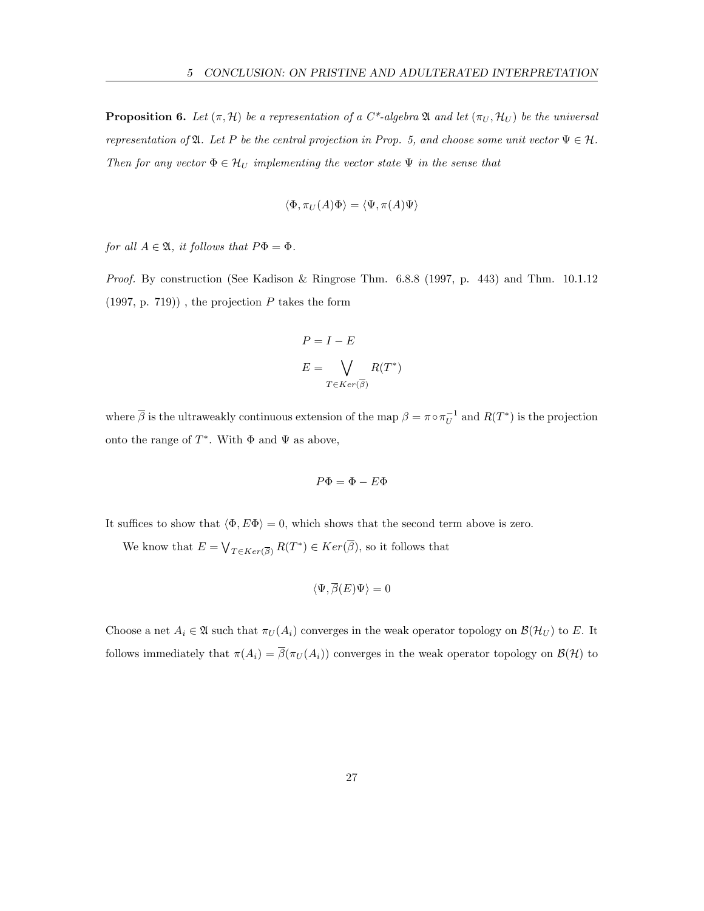**Proposition 6.** Let  $(\pi, \mathcal{H})$  be a representation of a C<sup>\*</sup>-algebra  $\mathfrak{A}$  and let  $(\pi_U, \mathcal{H}_U)$  be the universal representation of  $\mathfrak{A}$ . Let P be the central projection in Prop. 5, and choose some unit vector  $\Psi \in \mathcal{H}$ . Then for any vector  $\Phi \in \mathcal{H}_U$  implementing the vector state  $\Psi$  in the sense that

$$
\langle \Phi, \pi_U(A)\Phi\rangle = \langle \Psi, \pi(A)\Psi\rangle
$$

for all  $A \in \mathfrak{A}$ , it follows that  $P\Phi = \Phi$ .

Proof. By construction (See Kadison & Ringrose Thm. 6.8.8 (1997, p. 443) and Thm. 10.1.12  $(1997, p. 719)$ , the projection P takes the form

$$
P = I - E
$$

$$
E = \bigvee_{T \in Ker(\overline{\beta})} R(T^*)
$$

where  $\bar{\beta}$  is the ultraweakly continuous extension of the map  $\beta = \pi \circ \pi_U^{-1}$  and  $R(T^*)$  is the projection onto the range of  $T^*$ . With  $\Phi$  and  $\Psi$  as above,

$$
P\Phi = \Phi - E\Phi
$$

It suffices to show that  $\langle \Phi, E\Phi \rangle = 0$ , which shows that the second term above is zero.

We know that  $E = \bigvee_{T \in Ker(\overline{\beta})} R(T^*) \in Ker(\overline{\beta})$ , so it follows that

$$
\langle \Psi, \overline{\beta}(E) \Psi \rangle = 0
$$

Choose a net  $A_i \in \mathfrak{A}$  such that  $\pi_U(A_i)$  converges in the weak operator topology on  $\mathcal{B}(\mathcal{H}_U)$  to E. It follows immediately that  $\pi(A_i) = \overline{\beta}(\pi_U(A_i))$  converges in the weak operator topology on  $\mathcal{B}(\mathcal{H})$  to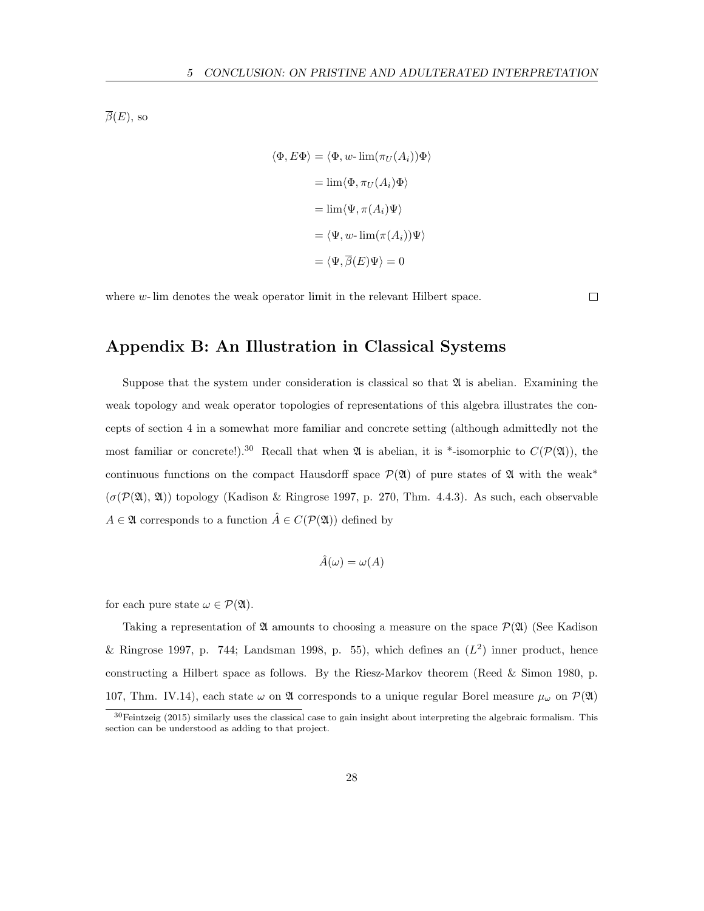$\overline{\beta}(E)$ , so

$$
\langle \Phi, E\Phi \rangle = \langle \Phi, w \text{- lim}(\pi_U(A_i))\Phi \rangle
$$

$$
= \lim \langle \Phi, \pi_U(A_i)\Phi \rangle
$$

$$
= \lim \langle \Psi, \pi(A_i)\Psi \rangle
$$

$$
= \langle \Psi, w \text{- lim}(\pi(A_i))\Psi \rangle
$$

$$
= \langle \Psi, \overline{\beta}(E)\Psi \rangle = 0
$$

where  $w$ - lim denotes the weak operator limit in the relevant Hilbert space.

 $\Box$ 

### Appendix B: An Illustration in Classical Systems

Suppose that the system under consideration is classical so that  $\mathfrak{A}$  is abelian. Examining the weak topology and weak operator topologies of representations of this algebra illustrates the concepts of section 4 in a somewhat more familiar and concrete setting (although admittedly not the most familiar or concrete!).<sup>30</sup> Recall that when  $\mathfrak A$  is abelian, it is \*-isomorphic to  $C(\mathcal P(\mathfrak A))$ , the continuous functions on the compact Hausdorff space  $\mathcal{P}(\mathfrak{A})$  of pure states of  $\mathfrak A$  with the weak\*  $(\sigma(\mathcal{P}(\mathfrak{A}), \mathfrak{A}))$  topology (Kadison & Ringrose 1997, p. 270, Thm. 4.4.3). As such, each observable  $A \in \mathfrak{A}$  corresponds to a function  $\hat{A} \in C(\mathcal{P}(\mathfrak{A}))$  defined by

$$
\hat{A}(\omega) = \omega(A)
$$

for each pure state  $\omega \in \mathcal{P}(\mathfrak{A})$ .

Taking a representation of  $\mathfrak A$  amounts to choosing a measure on the space  $\mathcal P(\mathfrak A)$  (See Kadison & Ringrose 1997, p. 744; Landsman 1998, p. 55), which defines an  $(L^2)$  inner product, hence constructing a Hilbert space as follows. By the Riesz-Markov theorem (Reed & Simon 1980, p. 107, Thm. IV.14), each state  $\omega$  on  $\mathfrak A$  corresponds to a unique regular Borel measure  $\mu_{\omega}$  on  $\mathcal P(\mathfrak A)$ 

<sup>30</sup>Feintzeig (2015) similarly uses the classical case to gain insight about interpreting the algebraic formalism. This section can be understood as adding to that project.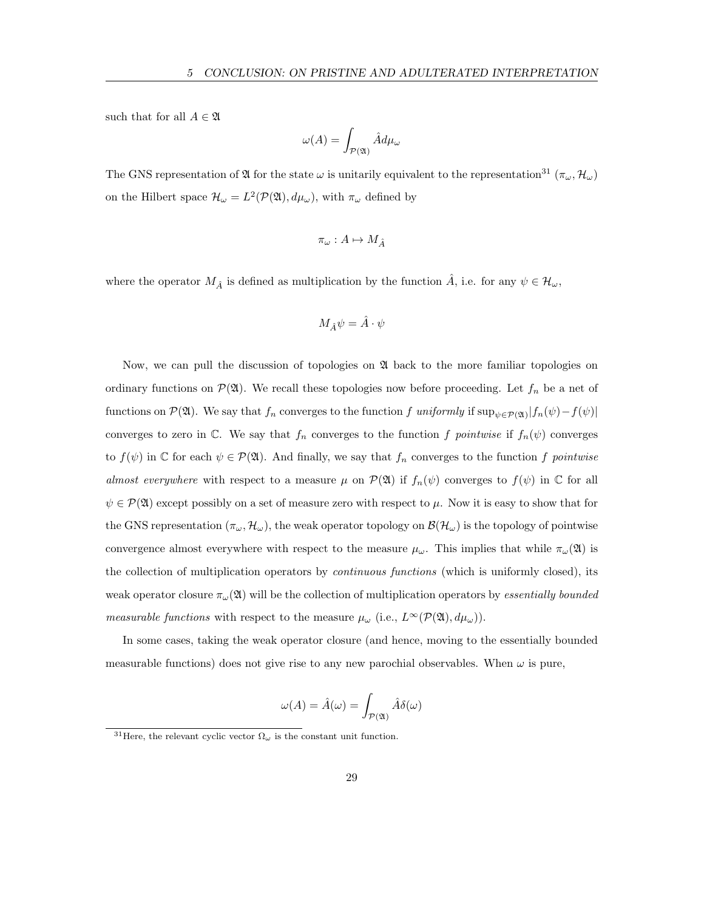such that for all  $A \in \mathfrak{A}$ 

$$
\omega(A) = \int_{\mathcal{P}(\mathfrak{A})} \hat{A} d\mu_{\omega}
$$

The GNS representation of  $\mathfrak A$  for the state  $\omega$  is unitarily equivalent to the representation<sup>31</sup> ( $\pi_\omega$ ,  $\mathcal{H}_\omega$ ) on the Hilbert space  $\mathcal{H}_{\omega} = L^2(\mathcal{P}(\mathfrak{A}), d\mu_{\omega}),$  with  $\pi_{\omega}$  defined by

$$
\pi_\omega:A\mapsto M_{\hat{A}}
$$

where the operator  $M_{\hat{A}}$  is defined as multiplication by the function  $\hat{A}$ , i.e. for any  $\psi \in \mathcal{H}_{\omega}$ ,

$$
M_{\hat{A}}\psi=\hat{A}\cdot\psi
$$

Now, we can pull the discussion of topologies on  $\mathfrak A$  back to the more familiar topologies on ordinary functions on  $\mathcal{P}(\mathfrak{A})$ . We recall these topologies now before proceeding. Let  $f_n$  be a net of functions on  $\mathcal{P}(\mathfrak{A})$ . We say that  $f_n$  converges to the function f uniformly if  $\sup_{\psi \in \mathcal{P}(\mathfrak{A})} |f_n(\psi) - f(\psi)|$ converges to zero in C. We say that  $f_n$  converges to the function f pointwise if  $f_n(\psi)$  converges to  $f(\psi)$  in  $\mathbb C$  for each  $\psi \in \mathcal P(\mathfrak A)$ . And finally, we say that  $f_n$  converges to the function f pointwise almost everywhere with respect to a measure  $\mu$  on  $\mathcal{P}(\mathfrak{A})$  if  $f_n(\psi)$  converges to  $f(\psi)$  in  $\mathbb C$  for all  $\psi \in \mathcal{P}(\mathfrak{A})$  except possibly on a set of measure zero with respect to  $\mu$ . Now it is easy to show that for the GNS representation  $(\pi_{\omega}, \mathcal{H}_{\omega})$ , the weak operator topology on  $\mathcal{B}(\mathcal{H}_{\omega})$  is the topology of pointwise convergence almost everywhere with respect to the measure  $\mu_{\omega}$ . This implies that while  $\pi_{\omega}(\mathfrak{A})$  is the collection of multiplication operators by continuous functions (which is uniformly closed), its weak operator closure  $\pi_{\omega}(\mathfrak{A})$  will be the collection of multiplication operators by *essentially bounded* measurable functions with respect to the measure  $\mu_{\omega}$  (i.e.,  $L^{\infty}(\mathcal{P}(\mathfrak{A}), d\mu_{\omega})$ ).

In some cases, taking the weak operator closure (and hence, moving to the essentially bounded measurable functions) does not give rise to any new parochial observables. When  $\omega$  is pure,

$$
\omega(A) = \hat{A}(\omega) = \int_{\mathcal{P}(\mathfrak{A})} \hat{A} \delta(\omega)
$$

<sup>&</sup>lt;sup>31</sup>Here, the relevant cyclic vector  $\Omega_{\omega}$  is the constant unit function.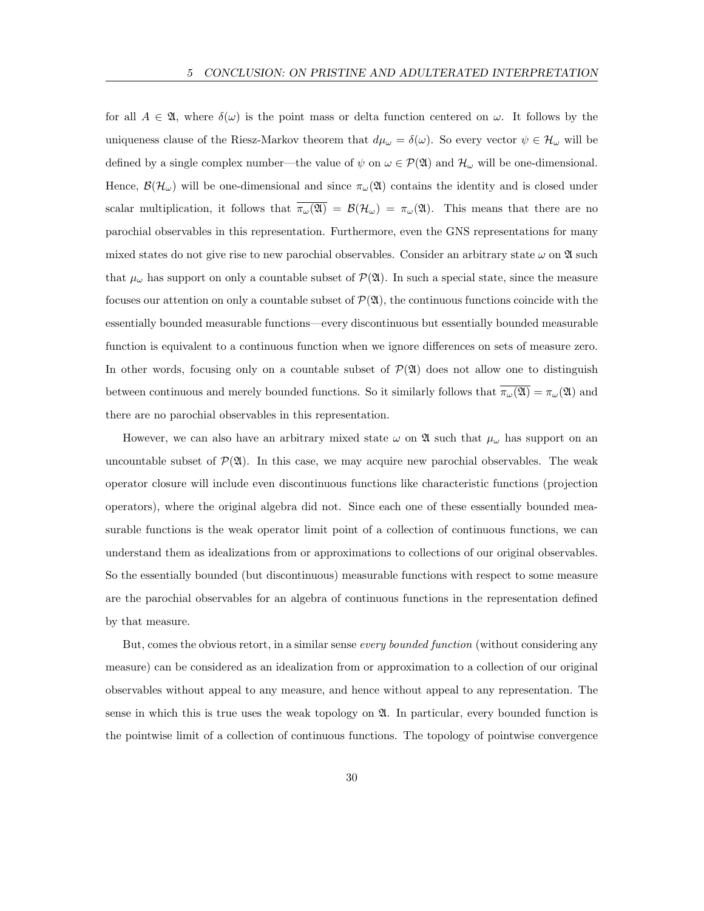for all  $A \in \mathfrak{A}$ , where  $\delta(\omega)$  is the point mass or delta function centered on  $\omega$ . It follows by the uniqueness clause of the Riesz-Markov theorem that  $d\mu_{\omega} = \delta(\omega)$ . So every vector  $\psi \in \mathcal{H}_{\omega}$  will be defined by a single complex number—the value of  $\psi$  on  $\omega \in \mathcal{P}(\mathfrak{A})$  and  $\mathcal{H}_{\omega}$  will be one-dimensional. Hence,  $\mathcal{B}(\mathcal{H}_{\omega})$  will be one-dimensional and since  $\pi_{\omega}(\mathfrak{A})$  contains the identity and is closed under scalar multiplication, it follows that  $\overline{\pi_{\omega}(\mathfrak{A})} = \mathcal{B}(\mathcal{H}_{\omega}) = \pi_{\omega}(\mathfrak{A})$ . This means that there are no parochial observables in this representation. Furthermore, even the GNS representations for many mixed states do not give rise to new parochial observables. Consider an arbitrary state  $\omega$  on  $\mathfrak A$  such that  $\mu_{\omega}$  has support on only a countable subset of  $\mathcal{P}(\mathfrak{A})$ . In such a special state, since the measure focuses our attention on only a countable subset of  $\mathcal{P}(\mathfrak{A})$ , the continuous functions coincide with the essentially bounded measurable functions—every discontinuous but essentially bounded measurable function is equivalent to a continuous function when we ignore differences on sets of measure zero. In other words, focusing only on a countable subset of  $\mathcal{P}(\mathfrak{A})$  does not allow one to distinguish between continuous and merely bounded functions. So it similarly follows that  $\overline{\pi_{\omega}(\mathfrak{A})} = \pi_{\omega}(\mathfrak{A})$  and there are no parochial observables in this representation.

However, we can also have an arbitrary mixed state  $\omega$  on  $\mathfrak A$  such that  $\mu_\omega$  has support on an uncountable subset of  $\mathcal{P}(\mathfrak{A})$ . In this case, we may acquire new parochial observables. The weak operator closure will include even discontinuous functions like characteristic functions (projection operators), where the original algebra did not. Since each one of these essentially bounded measurable functions is the weak operator limit point of a collection of continuous functions, we can understand them as idealizations from or approximations to collections of our original observables. So the essentially bounded (but discontinuous) measurable functions with respect to some measure are the parochial observables for an algebra of continuous functions in the representation defined by that measure.

But, comes the obvious retort, in a similar sense every bounded function (without considering any measure) can be considered as an idealization from or approximation to a collection of our original observables without appeal to any measure, and hence without appeal to any representation. The sense in which this is true uses the weak topology on  $\mathfrak{A}$ . In particular, every bounded function is the pointwise limit of a collection of continuous functions. The topology of pointwise convergence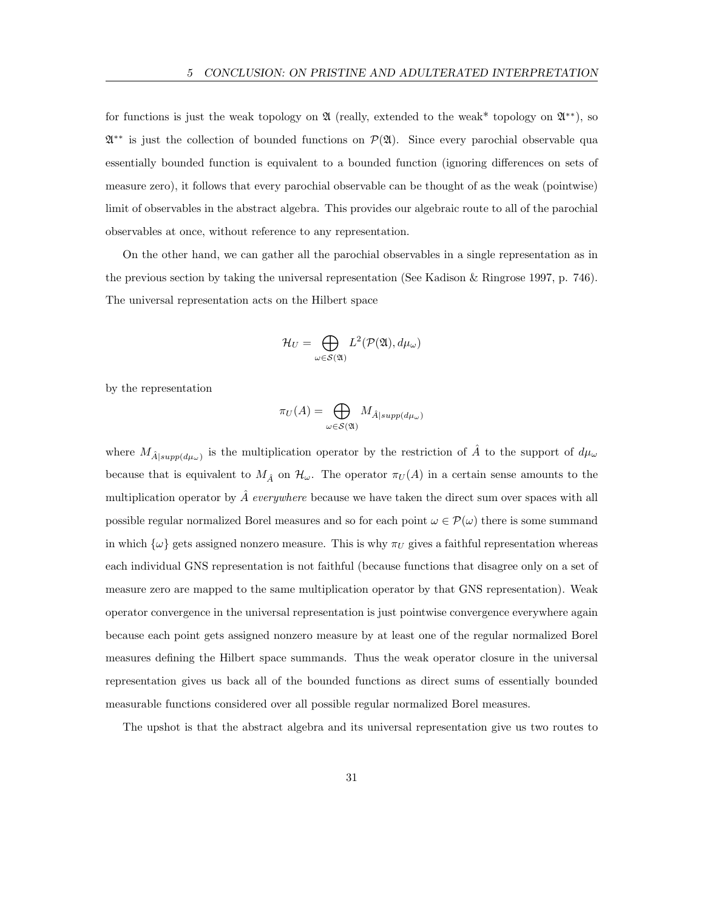for functions is just the weak topology on  $\mathfrak A$  (really, extended to the weak\* topology on  $\mathfrak A^{**}$ ), so  $\mathfrak{A}^{**}$  is just the collection of bounded functions on  $\mathcal{P}(\mathfrak{A})$ . Since every parochial observable qua essentially bounded function is equivalent to a bounded function (ignoring differences on sets of measure zero), it follows that every parochial observable can be thought of as the weak (pointwise) limit of observables in the abstract algebra. This provides our algebraic route to all of the parochial observables at once, without reference to any representation.

On the other hand, we can gather all the parochial observables in a single representation as in the previous section by taking the universal representation (See Kadison & Ringrose 1997, p. 746). The universal representation acts on the Hilbert space

$$
\mathcal{H}_U = \bigoplus_{\omega \in \mathcal{S}(\mathfrak{A})} L^2(\mathcal{P}(\mathfrak{A}), d\mu_\omega)
$$

by the representation

$$
\pi_U(A) = \bigoplus_{\omega \in \mathcal{S}(\mathfrak{A})} M_{\hat{A}|supp(d\mu_{\omega})}
$$

where  $M_{\hat{A}|supp(d\mu_{\omega})}$  is the multiplication operator by the restriction of  $\hat{A}$  to the support of  $d\mu_{\omega}$ because that is equivalent to  $M_{\hat{A}}$  on  $\mathcal{H}_{\omega}$ . The operator  $\pi_U(A)$  in a certain sense amounts to the multiplication operator by  $\hat{A}$  everywhere because we have taken the direct sum over spaces with all possible regular normalized Borel measures and so for each point  $\omega \in \mathcal{P}(\omega)$  there is some summand in which  $\{\omega\}$  gets assigned nonzero measure. This is why  $\pi_U$  gives a faithful representation whereas each individual GNS representation is not faithful (because functions that disagree only on a set of measure zero are mapped to the same multiplication operator by that GNS representation). Weak operator convergence in the universal representation is just pointwise convergence everywhere again because each point gets assigned nonzero measure by at least one of the regular normalized Borel measures defining the Hilbert space summands. Thus the weak operator closure in the universal representation gives us back all of the bounded functions as direct sums of essentially bounded measurable functions considered over all possible regular normalized Borel measures.

The upshot is that the abstract algebra and its universal representation give us two routes to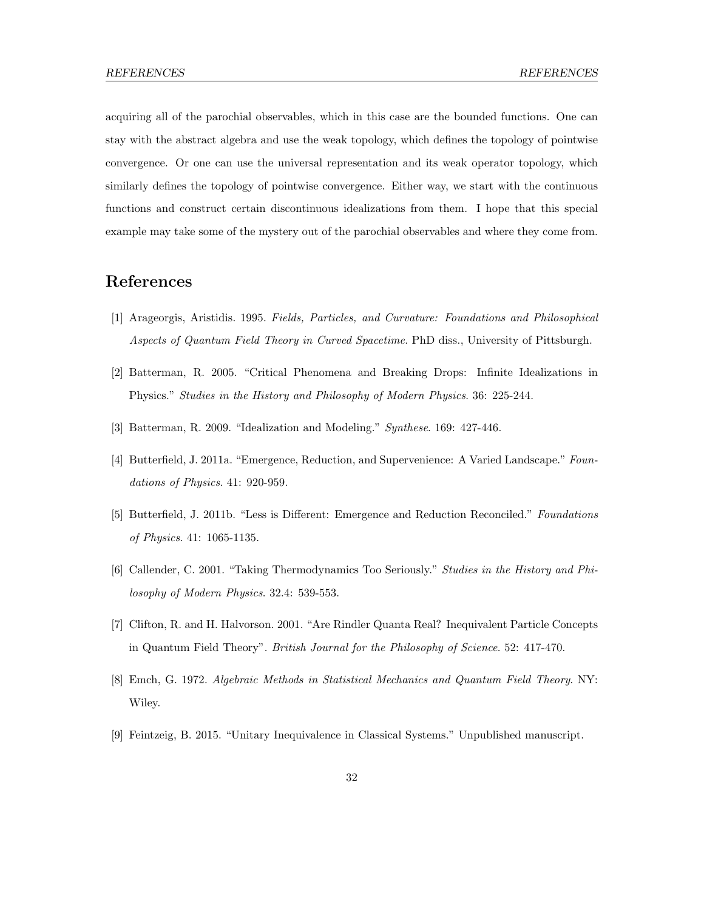acquiring all of the parochial observables, which in this case are the bounded functions. One can stay with the abstract algebra and use the weak topology, which defines the topology of pointwise convergence. Or one can use the universal representation and its weak operator topology, which similarly defines the topology of pointwise convergence. Either way, we start with the continuous functions and construct certain discontinuous idealizations from them. I hope that this special example may take some of the mystery out of the parochial observables and where they come from.

# References

- [1] Arageorgis, Aristidis. 1995. Fields, Particles, and Curvature: Foundations and Philosophical Aspects of Quantum Field Theory in Curved Spacetime. PhD diss., University of Pittsburgh.
- [2] Batterman, R. 2005. "Critical Phenomena and Breaking Drops: Infinite Idealizations in Physics." Studies in the History and Philosophy of Modern Physics. 36: 225-244.
- [3] Batterman, R. 2009. "Idealization and Modeling." Synthese. 169: 427-446.
- [4] Butterfield, J. 2011a. "Emergence, Reduction, and Supervenience: A Varied Landscape." Foundations of Physics. 41: 920-959.
- [5] Butterfield, J. 2011b. "Less is Different: Emergence and Reduction Reconciled." Foundations of Physics. 41: 1065-1135.
- [6] Callender, C. 2001. "Taking Thermodynamics Too Seriously." Studies in the History and Philosophy of Modern Physics. 32.4: 539-553.
- [7] Clifton, R. and H. Halvorson. 2001. "Are Rindler Quanta Real? Inequivalent Particle Concepts in Quantum Field Theory". British Journal for the Philosophy of Science. 52: 417-470.
- [8] Emch, G. 1972. Algebraic Methods in Statistical Mechanics and Quantum Field Theory. NY: Wiley.
- [9] Feintzeig, B. 2015. "Unitary Inequivalence in Classical Systems." Unpublished manuscript.